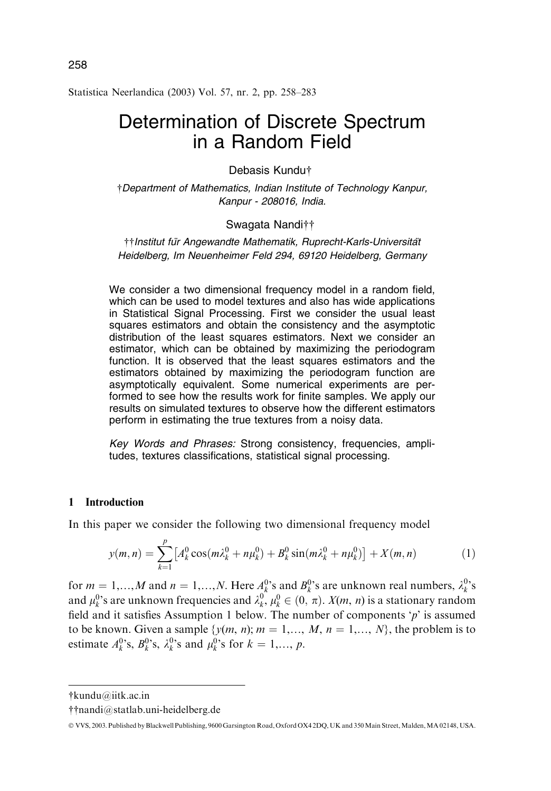Statistica Neerlandica (2003) Vol. 57, nr. 2, pp. 258–283

# Determination of Discrete Spectrum in a Random Field

## Debasis Kundu

Department of Mathematics, Indian Institute of Technology Kanpur, Kanpur - 208016, India.

# Swagata Nanditt

†† Institut für Angewandte Mathematik, Ruprecht-Karls-Universität Heidelberg, Im Neuenheimer Feld 294, 69120 Heidelberg, Germany

We consider a two dimensional frequency model in a random field, which can be used to model textures and also has wide applications in Statistical Signal Processing. First we consider the usual least squares estimators and obtain the consistency and the asymptotic distribution of the least squares estimators. Next we consider an estimator, which can be obtained by maximizing the periodogram function. It is observed that the least squares estimators and the estimators obtained by maximizing the periodogram function are asymptotically equivalent. Some numerical experiments are performed to see how the results work for finite samples. We apply our results on simulated textures to observe how the different estimators perform in estimating the true textures from a noisy data.

Key Words and Phrases: Strong consistency, frequencies, amplitudes, textures classifications, statistical signal processing.

#### 1 Introduction

In this paper we consider the following two dimensional frequency model

$$
y(m,n) = \sum_{k=1}^{p} \left[ A_k^0 \cos(m\lambda_k^0 + n\mu_k^0) + B_k^0 \sin(m\lambda_k^0 + n\mu_k^0) \right] + X(m,n) \tag{1}
$$

for  $m = 1,...,M$  and  $n = 1,...,N$ . Here  $A_k^{0}$ 's and  $B_k^{0}$ 's are unknown real numbers,  $\lambda_k^{0}$ 's and  $\mu_k^0$ 's are unknown frequencies and  $\lambda_k^0$ ,  $\mu_k^0 \in (0, \pi)$ .  $X(m, n)$  is a stationary random field and it satisfies Assumption 1 below. The number of components 'p' is assumed to be known. Given a sample  $\{y(m, n); m = 1, \ldots, M, n = 1, \ldots, N\}$ , the problem is to estimate  $A_k^0$ 's,  $B_k^0$ 's,  $\lambda_k^0$ 's and  $\mu_k^0$ 's for  $k = 1,..., p$ .

kundu@iitk.ac.in

nandi@statlab.uni-heidelberg.de

<sup>©</sup> VVS, 2003. Published by Blackwell Publishing, 9600 Garsington Road, Oxford OX4 2DQ, UK and 350 Main Street, Malden, MA 02148, USA.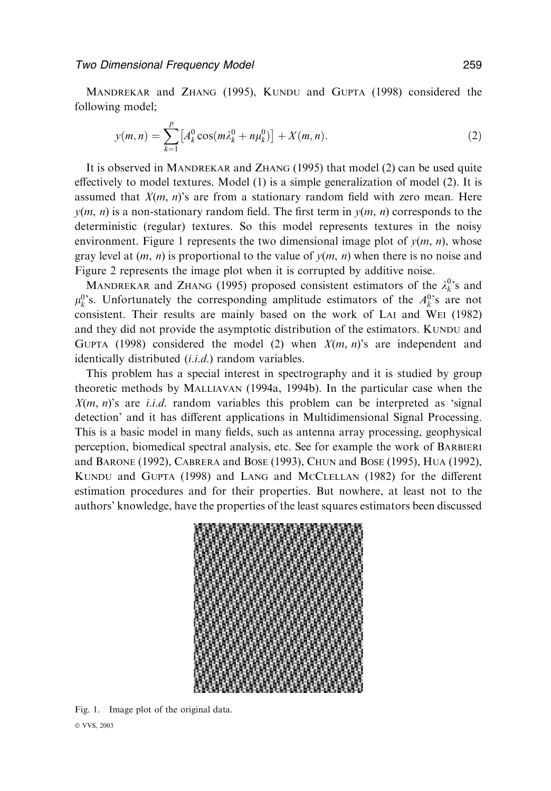MANDREKAR and ZHANG (1995), KUNDU and GUPTA (1998) considered the following model;

$$
y(m,n) = \sum_{k=1}^{p} \left[ A_k^0 \cos(m\lambda_k^0 + n\mu_k^0) \right] + X(m,n). \tag{2}
$$

It is observed in MANDREKAR and ZHANG (1995) that model (2) can be used quite effectively to model textures. Model (1) is a simple generalization of model (2). It is assumed that  $X(m, n)$ 's are from a stationary random field with zero mean. Here  $y(m, n)$  is a non-stationary random field. The first term in  $y(m, n)$  corresponds to the deterministic (regular) textures. So this model represents textures in the noisy environment. Figure 1 represents the two dimensional image plot of  $v(m, n)$ , whose gray level at  $(m, n)$  is proportional to the value of  $y(m, n)$  when there is no noise and Figure 2 represents the image plot when it is corrupted by additive noise.

MANDREKAR and ZHANG (1995) proposed consistent estimators of the  $\lambda_k^0$ 's and  $\mu_k^0$ 's. Unfortunately the corresponding amplitude estimators of the  $A_k^0$ 's are not consistent. Their results are mainly based on the work of LAI and WEI (1982) and they did not provide the asymptotic distribution of the estimators. KUNDU and GUPTA (1998) considered the model (2) when  $X(m, n)$ 's are independent and identically distributed  $(i.i.d.)$  random variables.

This problem has a special interest in spectrography and it is studied by group theoretic methods by MALLIAVAN (1994a, 1994b). In the particular case when the  $X(m, n)$ 's are *i.i.d.* random variables this problem can be interpreted as 'signal detection' and it has different applications in Multidimensional Signal Processing. This is a basic model in many fields, such as antenna array processing, geophysical perception, biomedical spectral analysis, etc. See for example the work of BARBIERI and BARONE (1992), CABRERA and BOSE (1993), CHUN and BOSE (1995), HUA (1992), KUNDU and GUPTA (1998) and LANG and MCCLELLAN (1982) for the different estimation procedures and for their properties. But nowhere, at least not to the authors' knowledge, have the properties of the least squares estimators been discussed



Fig. 1. Image plot of the original data. © VVS, 2003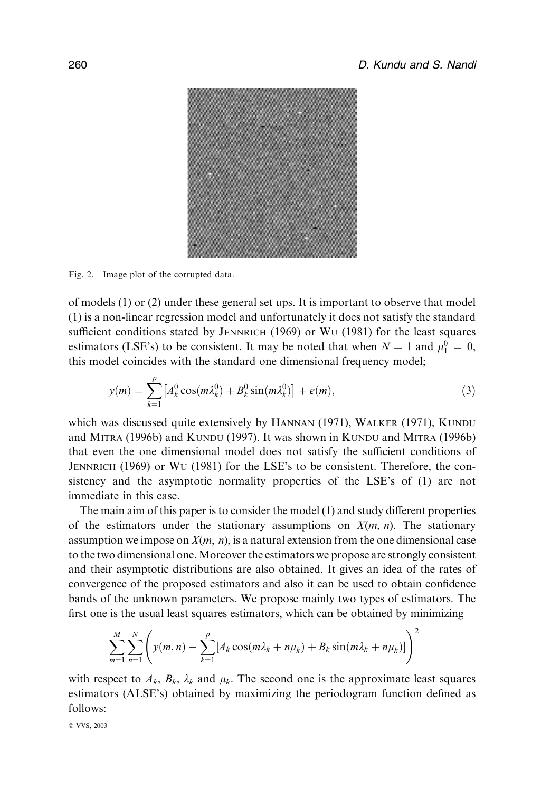

Fig. 2. Image plot of the corrupted data.

of models (1) or (2) under these general set ups. It is important to observe that model (1) is a non-linear regression model and unfortunately it does not satisfy the standard sufficient conditions stated by JENNRICH (1969) or WU (1981) for the least squares estimators (LSE's) to be consistent. It may be noted that when  $N = 1$  and  $\mu_1^0 = 0$ , this model coincides with the standard one dimensional frequency model;

$$
y(m) = \sum_{k=1}^{p} \left[ A_k^0 \cos(m\lambda_k^0) + B_k^0 \sin(m\lambda_k^0) \right] + e(m), \tag{3}
$$

which was discussed quite extensively by HANNAN (1971), WALKER (1971), KUNDU and MITRA (1996b) and KUNDU (1997). It was shown in KUNDU and MITRA (1996b) that even the one dimensional model does not satisfy the sufficient conditions of JENNRICH (1969) or WU (1981) for the LSE's to be consistent. Therefore, the consistency and the asymptotic normality properties of the LSE's of (1) are not immediate in this case.

The main aim of this paper is to consider the model (1) and study different properties of the estimators under the stationary assumptions on  $X(m, n)$ . The stationary assumption we impose on  $X(m, n)$ , is a natural extension from the one dimensional case to the two dimensional one.Moreover the estimators we propose are strongly consistent and their asymptotic distributions are also obtained. It gives an idea of the rates of convergence of the proposed estimators and also it can be used to obtain confidence bands of the unknown parameters. We propose mainly two types of estimators. The first one is the usual least squares estimators, which can be obtained by minimizing

$$
\sum_{m=1}^{M} \sum_{n=1}^{N} \left( y(m,n) - \sum_{k=1}^{p} [A_k \cos(m\lambda_k + n\mu_k) + B_k \sin(m\lambda_k + n\mu_k)] \right)^2
$$

with respect to  $A_k$ ,  $B_k$ ,  $\lambda_k$  and  $\mu_k$ . The second one is the approximate least squares estimators (ALSE's) obtained by maximizing the periodogram function defined as follows: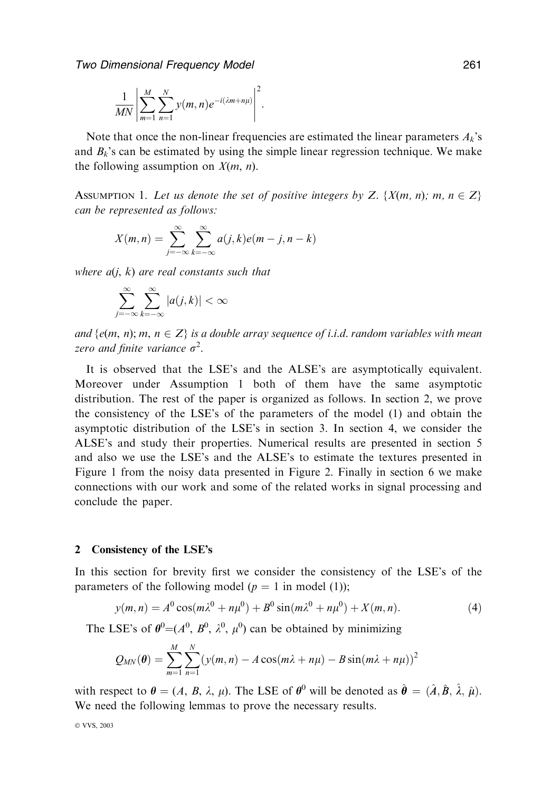$$
\frac{1}{MN}\left|\sum_{m=1}^M\sum_{n=1}^N y(m,n)e^{-i(\lambda m+n\mu)}\right|^2.
$$

Note that once the non-linear frequencies are estimated the linear parameters  $A_k$ 's and  $B_k$ 's can be estimated by using the simple linear regression technique. We make the following assumption on  $X(m, n)$ .

ASSUMPTION 1. Let us denote the set of positive integers by Z.  $\{X(m, n); m, n \in Z\}$ can be represented as follows:

$$
X(m,n) = \sum_{j=-\infty}^{\infty} \sum_{k=-\infty}^{\infty} a(j,k)e(m-j,n-k)
$$

where  $a(i, k)$  are real constants such that

$$
\sum_{j=-\infty}^{\infty}\sum_{k=-\infty}^{\infty}|a(j,k)|<\infty
$$

and  $\{e(m, n); m, n \in \mathbb{Z}\}\$ is a double array sequence of i.i.d. random variables with mean zero and finite variance  $\sigma^2$ .

It is observed that the LSE's and the ALSE's are asymptotically equivalent. Moreover under Assumption 1 both of them have the same asymptotic distribution. The rest of the paper is organized as follows. In section 2, we prove the consistency of the LSE's of the parameters of the model (1) and obtain the asymptotic distribution of the LSE's in section 3. In section 4, we consider the ALSE's and study their properties. Numerical results are presented in section 5 and also we use the LSE's and the ALSE's to estimate the textures presented in Figure 1 from the noisy data presented in Figure 2. Finally in section 6 we make connections with our work and some of the related works in signal processing and conclude the paper.

# 2 Consistency of the LSE's

In this section for brevity first we consider the consistency of the LSE's of the parameters of the following model  $(p = 1 \text{ in model } (1));$ 

$$
y(m,n) = A^{0} \cos(m\lambda^{0} + n\mu^{0}) + B^{0} \sin(m\lambda^{0} + n\mu^{0}) + X(m,n).
$$
 (4)

The LSE's of  $\theta^0 = (A^0, B^0, \lambda^0, \mu^0)$  can be obtained by minimizing

$$
Q_{MN}(\theta) = \sum_{m=1}^{M} \sum_{n=1}^{N} (y(m,n) - A\cos(m\lambda + n\mu) - B\sin(m\lambda + n\mu))^2
$$

with respect to  $\theta = (A, B, \lambda, \mu)$ . The LSE of  $\theta^0$  will be denoted as  $\hat{\theta} = (\hat{A}, \hat{B}, \hat{\lambda}, \hat{\mu})$ . We need the following lemmas to prove the necessary results.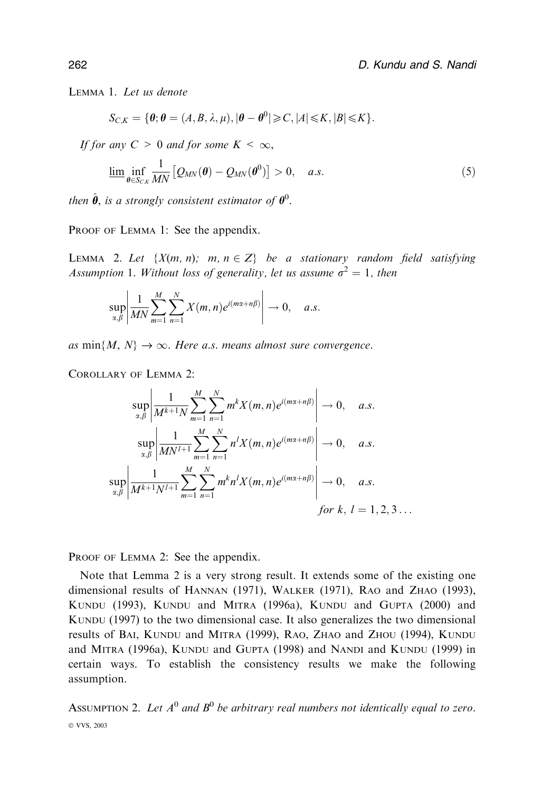Lemma 1. Let us denote

$$
S_{C,K} = \{ \theta; \theta = (A, B, \lambda, \mu), |\theta - \theta^0| \geqslant C, |A| \leqslant K, |B| \leqslant K \}.
$$

If for any  $C > 0$  and for some  $K < \infty$ ,

$$
\underline{\lim}_{\theta \in S_{C,K}} \frac{1}{MN} \left[ Q_{MN}(\theta) - Q_{MN}(\theta^0) \right] > 0, \quad a.s.
$$
\n(5)

then  $\hat{\boldsymbol{\theta}}$ , is a strongly consistent estimator of  $\boldsymbol{\theta}^0$ .

PROOF OF LEMMA 1: See the appendix.

LEMMA 2. Let  $\{X(m, n); m, n \in \mathbb{Z}\}$  be a stationary random field satisfying Assumption 1. Without loss of generality, let us assume  $\sigma^2 = 1$ , then

$$
\sup_{\alpha,\beta}\left|\frac{1}{MN}\sum_{m=1}^M\sum_{n=1}^NX(m,n)e^{i(m\alpha+n\beta)}\right|\to 0, \quad a.s.
$$

as  $min{M, N} \rightarrow \infty$ . Here a.s. means almost sure convergence.

Corollary of Lemma 2:

$$
\sup_{\alpha,\beta} \left| \frac{1}{M^{k+1}N} \sum_{m=1}^{M} \sum_{n=1}^{N} m^{k} X(m,n) e^{i(m\alpha+n\beta)} \right| \to 0, \quad a.s.
$$
  

$$
\sup_{\alpha,\beta} \left| \frac{1}{MN^{l+1}} \sum_{m=1}^{M} \sum_{n=1}^{N} n^{l} X(m,n) e^{i(m\alpha+n\beta)} \right| \to 0, \quad a.s.
$$
  

$$
\sup_{\alpha,\beta} \left| \frac{1}{M^{k+1}N^{l+1}} \sum_{m=1}^{M} \sum_{n=1}^{N} m^{k} n^{l} X(m,n) e^{i(m\alpha+n\beta)} \right| \to 0, \quad a.s.
$$
  
for k, l = 1, 2, 3 ...

PROOF OF LEMMA 2: See the appendix.

Note that Lemma 2 is a very strong result. It extends some of the existing one dimensional results of HANNAN (1971), WALKER (1971), RAO and ZHAO (1993), KUNDU (1993), KUNDU and MITRA (1996a), KUNDU and GUPTA (2000) and KUNDU (1997) to the two dimensional case. It also generalizes the two dimensional results of BAI, KUNDU and MITRA (1999), RAO, ZHAO and ZHOU (1994), KUNDU and MITRA (1996a), KUNDU and GUPTA (1998) and NANDI and KUNDU (1999) in certain ways. To establish the consistency results we make the following assumption.

ASSUMPTION 2. Let  $A^0$  and  $B^0$  be arbitrary real numbers not identically equal to zero. © VVS, 2003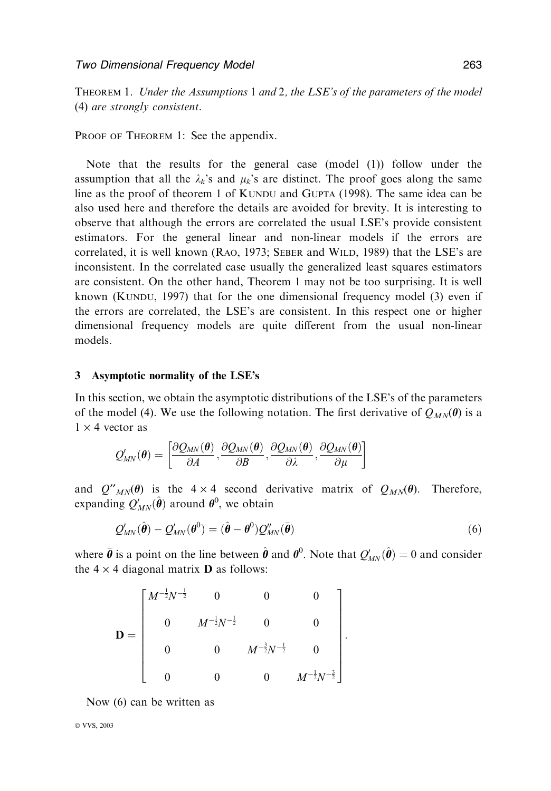THEOREM 1. Under the Assumptions 1 and 2, the LSE's of the parameters of the model (4) are strongly consistent.

PROOF OF THEOREM 1: See the appendix.

Note that the results for the general case (model (1)) follow under the assumption that all the  $\lambda_k$ 's and  $\mu_k$ 's are distinct. The proof goes along the same line as the proof of theorem 1 of KUNDU and GUPTA (1998). The same idea can be also used here and therefore the details are avoided for brevity. It is interesting to observe that although the errors are correlated the usual LSE's provide consistent estimators. For the general linear and non-linear models if the errors are correlated, it is well known (RAO, 1973; SEBER and WILD, 1989) that the LSE's are inconsistent. In the correlated case usually the generalized least squares estimators are consistent. On the other hand, Theorem 1 may not be too surprising. It is well known (KUNDU, 1997) that for the one dimensional frequency model (3) even if the errors are correlated, the LSE's are consistent. In this respect one or higher dimensional frequency models are quite different from the usual non-linear models.

### 3 Asymptotic normality of the LSE's

In this section, we obtain the asymptotic distributions of the LSE's of the parameters of the model (4). We use the following notation. The first derivative of  $Q_{MN}(\theta)$  is a  $1 \times 4$  vector as

$$
\mathcal{Q}_{MN}^{\prime}(\boldsymbol{\theta})=\left[\frac{\partial\mathcal{Q}_{MN}(\boldsymbol{\theta})}{\partial A},\frac{\partial\mathcal{Q}_{MN}(\boldsymbol{\theta})}{\partial B},\frac{\partial\mathcal{Q}_{MN}(\boldsymbol{\theta})}{\partial \lambda},\frac{\partial\mathcal{Q}_{MN}(\boldsymbol{\theta})}{\partial \mu}\right]
$$

and  $Q^{\prime\prime}{}_{MN}(\theta)$  is the 4 × 4 second derivative matrix of  $Q_{MN}(\theta)$ . Therefore, expanding  $Q'_{MN}(\hat{\boldsymbol{\theta}})$  around  $\boldsymbol{\theta}^0$ , we obtain

$$
Q'_{MN}(\hat{\boldsymbol{\theta}}) - Q'_{MN}(\boldsymbol{\theta}^0) = (\hat{\boldsymbol{\theta}} - \boldsymbol{\theta}^0) Q''_{MN}(\bar{\boldsymbol{\theta}})
$$
\n(6)

where  $\bar{\theta}$  is a point on the line between  $\hat{\theta}$  and  $\theta^0$ . Note that  $Q'_{MN}(\hat{\theta}) = 0$  and consider the  $4 \times 4$  diagonal matrix **D** as follows:

$$
\mathbf{D} = \begin{bmatrix} M^{-\frac{1}{2}}N^{-\frac{1}{2}} & 0 & 0 & 0 \\ 0 & M^{-\frac{1}{2}}N^{-\frac{1}{2}} & 0 & 0 \\ 0 & 0 & M^{-\frac{3}{2}}N^{-\frac{1}{2}} & 0 \\ 0 & 0 & 0 & M^{-\frac{1}{2}}N^{-\frac{3}{2}} \end{bmatrix}.
$$

Now (6) can be written as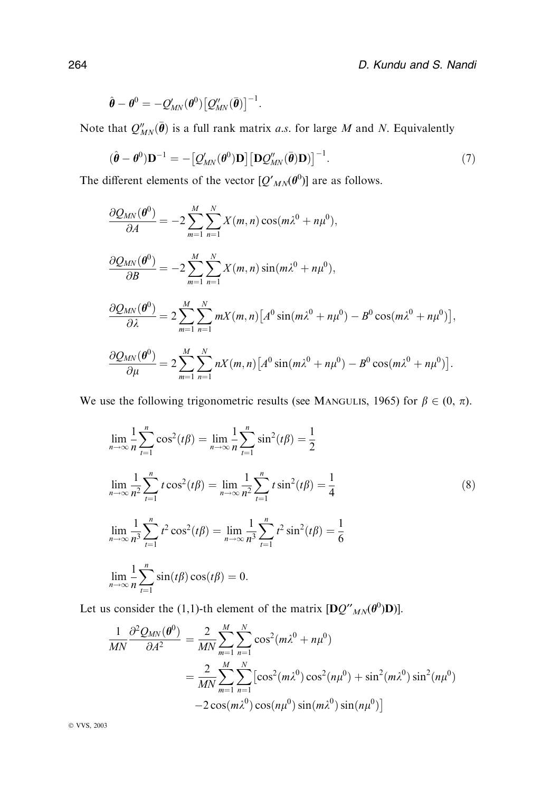$$
\hat{\boldsymbol{\theta}} - \boldsymbol{\theta}^0 = -Q'_{MN}(\boldsymbol{\theta}^0) \big[ Q''_{MN}(\bar{\boldsymbol{\theta}}) \big]^{-1}.
$$

Note that  $Q''_{MN}(\bar{\theta})$  is a full rank matrix a.s. for large M and N. Equivalently

$$
(\hat{\boldsymbol{\theta}} - \boldsymbol{\theta}^0) \mathbf{D}^{-1} = -\left[ \mathcal{Q}_{MN}(\boldsymbol{\theta}^0) \mathbf{D} \right] \left[ \mathbf{D} \mathcal{Q}_{MN}''(\bar{\boldsymbol{\theta}}) \mathbf{D} \right]^{-1}.
$$
 (7)

The different elements of the vector  $[Q'_{MN}(\theta^0)]$  are as follows.

$$
\frac{\partial Q_{MN}(\boldsymbol{\theta}^{0})}{\partial A} = -2 \sum_{m=1}^{M} \sum_{n=1}^{N} X(m, n) \cos(m\lambda^{0} + n\mu^{0}),
$$
  

$$
\frac{\partial Q_{MN}(\boldsymbol{\theta}^{0})}{\partial B} = -2 \sum_{m=1}^{M} \sum_{n=1}^{N} X(m, n) \sin(m\lambda^{0} + n\mu^{0}),
$$
  

$$
\frac{\partial Q_{MN}(\boldsymbol{\theta}^{0})}{\partial \lambda} = 2 \sum_{m=1}^{M} \sum_{n=1}^{N} mX(m, n) \left[ A^{0} \sin(m\lambda^{0} + n\mu^{0}) - B^{0} \cos(m\lambda^{0} + n\mu^{0}) \right],
$$
  

$$
\frac{\partial Q_{MN}(\boldsymbol{\theta}^{0})}{\partial \mu} = 2 \sum_{m=1}^{M} \sum_{n=1}^{N} nX(m, n) \left[ A^{0} \sin(m\lambda^{0} + n\mu^{0}) - B^{0} \cos(m\lambda^{0} + n\mu^{0}) \right].
$$

We use the following trigonometric results (see MANGULIS, 1965) for  $\beta \in (0, \pi)$ .

$$
\lim_{n \to \infty} \frac{1}{n} \sum_{t=1}^{n} \cos^{2}(t\beta) = \lim_{n \to \infty} \frac{1}{n} \sum_{t=1}^{n} \sin^{2}(t\beta) = \frac{1}{2}
$$
\n
$$
\lim_{n \to \infty} \frac{1}{n^{2}} \sum_{t=1}^{n} t \cos^{2}(t\beta) = \lim_{n \to \infty} \frac{1}{n^{2}} \sum_{t=1}^{n} t \sin^{2}(t\beta) = \frac{1}{4}
$$
\n
$$
\lim_{n \to \infty} \frac{1}{n^{3}} \sum_{t=1}^{n} t^{2} \cos^{2}(t\beta) = \lim_{n \to \infty} \frac{1}{n^{3}} \sum_{t=1}^{n} t^{2} \sin^{2}(t\beta) = \frac{1}{6}
$$
\n
$$
\lim_{n \to \infty} \frac{1}{n} \sum_{t=1}^{n} \sin(t\beta) \cos(t\beta) = 0.
$$
\n(8)

Let us consider the (1,1)-th element of the matrix  $[\mathbf{D}Q''_{MN}(\theta^0)\mathbf{D})]$ .

$$
\frac{1}{MN} \frac{\partial^2 Q_{MN}(\theta^0)}{\partial A^2} = \frac{2}{MN} \sum_{m=1}^M \sum_{n=1}^N \cos^2(m\lambda^0 + n\mu^0)
$$
  
= 
$$
\frac{2}{MN} \sum_{m=1}^M \sum_{n=1}^N [\cos^2(m\lambda^0) \cos^2(n\mu^0) + \sin^2(m\lambda^0) \sin^2(n\mu^0)
$$
  
- 
$$
2 \cos(m\lambda^0) \cos(n\mu^0) \sin(m\lambda^0) \sin(n\mu^0)]
$$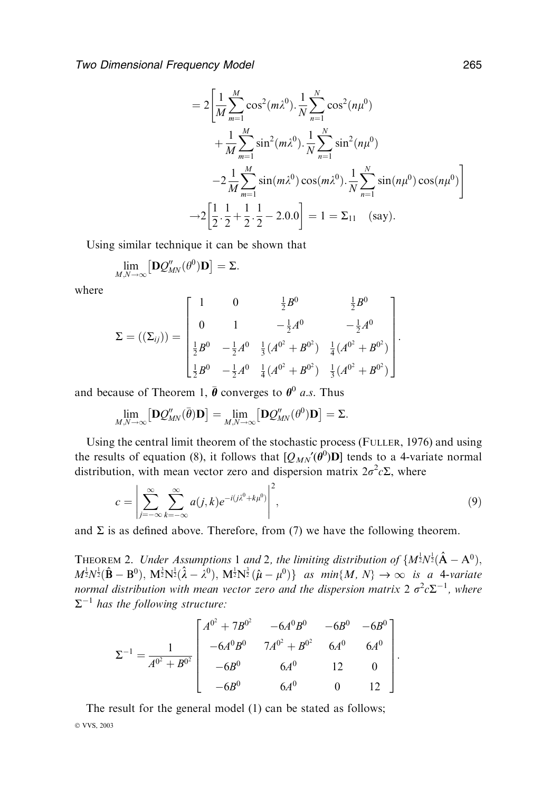Two Dimensional Frequency Model 265

$$
=2\left[\frac{1}{M}\sum_{m=1}^{M}\cos^{2}(m\lambda^{0})\cdot\frac{1}{N}\sum_{n=1}^{N}\cos^{2}(n\mu^{0}) + \frac{1}{M}\sum_{m=1}^{M}\sin^{2}(m\lambda^{0})\cdot\frac{1}{N}\sum_{n=1}^{N}\sin^{2}(n\mu^{0}) - 2\frac{1}{M}\sum_{m=1}^{M}\sin(m\lambda^{0})\cos(m\lambda^{0})\cdot\frac{1}{N}\sum_{n=1}^{N}\sin(n\mu^{0})\cos(n\mu^{0})\right] + 2\left[\frac{1}{2}\cdot\frac{1}{2} + \frac{1}{2}\cdot\frac{1}{2} - 2.0.0\right] = 1 = \Sigma_{11} \text{ (say)}.
$$

Using similar technique it can be shown that

$$
\lim_{M,N\to\infty} \left[\mathbf{D}Q''_{MN}(\theta^0)\mathbf{D}\right]=\Sigma.
$$

where

$$
\Sigma = ((\Sigma_{ij})) = \begin{bmatrix} 1 & 0 & \frac{1}{2}B^0 & \frac{1}{2}B^0 \\ 0 & 1 & -\frac{1}{2}A^0 & -\frac{1}{2}A^0 \\ \frac{1}{2}B^0 & -\frac{1}{2}A^0 & \frac{1}{3}(A^{0^2} + B^{0^2}) & \frac{1}{4}(A^{0^2} + B^{0^2}) \\ \frac{1}{2}B^0 & -\frac{1}{2}A^0 & \frac{1}{4}(A^{0^2} + B^{0^2}) & \frac{1}{3}(A^{0^2} + B^{0^2}) \end{bmatrix}.
$$

and because of Theorem 1,  $\bar{\theta}$  converges to  $\theta^0$  a.s. Thus

$$
\lim_{M,N\to\infty} \left[\mathbf{D}\mathcal{Q}_{MN}''(\bar{\boldsymbol{\theta}})\mathbf{D}\right] = \lim_{M,N\to\infty} \left[\mathbf{D}\mathcal{Q}_{MN}''(\boldsymbol{\theta}^0)\mathbf{D}\right] = \Sigma.
$$

Using the central limit theorem of the stochastic process (FULLER, 1976) and using the results of equation (8), it follows that  $[Q_{MN}(\theta^0)D]$  tends to a 4-variate normal distribution, with mean vector zero and dispersion matrix  $2\sigma^2 c \Sigma$ , where

$$
c = \left| \sum_{j=-\infty}^{\infty} \sum_{k=-\infty}^{\infty} a(j,k) e^{-i(j\lambda^0 + k\mu^0)} \right|^2,
$$
\n(9)

and  $\Sigma$  is as defined above. Therefore, from (7) we have the following theorem.

THEOREM 2. Under Assumptions 1 and 2, the limiting distribution of  $\{M^{\frac{1}{2}}N^{\frac{1}{2}}(\hat{\mathbf{A}} - \mathbf{A}^{0}),\}$  $M^{\frac{1}{2}}N^{\frac{1}{2}}(\hat{\mathbf{B}}-\mathbf{B}^{0}), M^{\frac{3}{2}}N^{\frac{1}{2}}(\hat{\lambda}-\lambda^{0}), M^{\frac{1}{2}}N^{\frac{3}{2}}(\hat{\mu}-\mu^{0})\}$  as  $min\{M, N\} \to \infty$  is a 4-variate normal distribution with mean vector zero and the dispersion matrix 2  $\sigma^2 c \Sigma^{-1}$ , where  $\Sigma^{-1}$  has the following structure:

$$
\Sigma^{-1} = \frac{1}{A^{0^2} + B^{0^2}} \begin{bmatrix} A^{0^2} + 7B^{0^2} & -6A^0B^0 & -6B^0 & -6B^0 \\ -6A^0B^0 & 7A^{0^2} + B^{0^2} & 6A^0 & 6A^0 \\ -6B^0 & 6A^0 & 12 & 0 \\ -6B^0 & 6A^0 & 0 & 12 \end{bmatrix}.
$$

The result for the general model (1) can be stated as follows; © VVS, 2003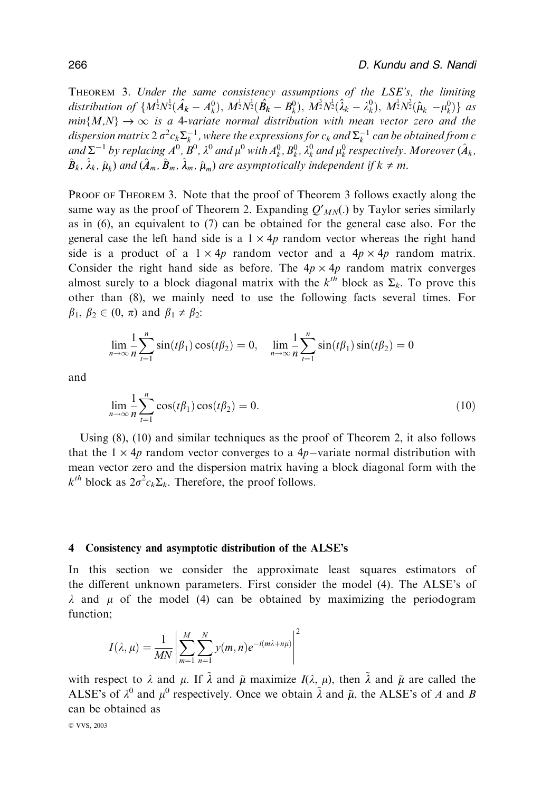THEOREM 3. Under the same consistency assumptions of the  $LSE's$ , the limiting distribution of  $\{M^{\frac{1}{2}}N^{\frac{1}{2}}(\hat{A}_k - A_k^0), M^{\frac{1}{2}}N^{\frac{1}{2}}(\hat{B}_k - B_k^0), M^{\frac{3}{2}}N^{\frac{1}{2}}(\hat{\lambda}_k - \lambda_k^0), M^{\frac{1}{2}}N^{\frac{3}{2}}(\hat{\mu}_k - \mu_k^0)\}\$ as  $min\{M,N\} \rightarrow \infty$  is a 4-variate normal distribution with mean vector zero and the dispersion matrix 2  $\sigma^2 c_k \Sigma_k^{-1}$  , where the expressions for  $c_k$  and  $\Sigma_k^{-1}$  can be obtained from  $c$ and  $\Sigma^{-1}$  by replacing  $A^0$ ,  $B^0$ ,  $\lambda^0$  and  $\mu^0$  with  $A^0_k$ ,  $B^0_k$ ,  $\lambda^0_k$  and  $\mu^0_k$  respectively. Moreover  $(\hat A_k,$  $\hat{B}_k$ ,  $\hat{\lambda}_k$ ,  $\hat{\mu}_k$ ) and  $(\hat{A}_m, \hat{B}_m, \hat{\lambda}_m, \hat{\mu}_m)$  are asymptotically independent if  $k \neq m$ .

Proof of Theorem 3. Note that the proof of Theorem 3 follows exactly along the same way as the proof of Theorem 2. Expanding  $Q'_{MN}$ . by Taylor series similarly as in (6), an equivalent to (7) can be obtained for the general case also. For the general case the left hand side is a  $1 \times 4p$  random vector whereas the right hand side is a product of a  $1 \times 4p$  random vector and a  $4p \times 4p$  random matrix. Consider the right hand side as before. The  $4p \times 4p$  random matrix converges almost surely to a block diagonal matrix with the  $k^{th}$  block as  $\Sigma_k$ . To prove this other than (8), we mainly need to use the following facts several times. For  $\beta_1$ ,  $\beta_2 \in (0, \pi)$  and  $\beta_1 \neq \beta_2$ :

$$
\lim_{n \to \infty} \frac{1}{n} \sum_{t=1}^{n} \sin(t\beta_1)\cos(t\beta_2) = 0, \quad \lim_{n \to \infty} \frac{1}{n} \sum_{t=1}^{n} \sin(t\beta_1)\sin(t\beta_2) = 0
$$

and

$$
\lim_{n \to \infty} \frac{1}{n} \sum_{t=1}^{n} \cos(t\beta_1) \cos(t\beta_2) = 0.
$$
 (10)

Using (8), (10) and similar techniques as the proof of Theorem 2, it also follows that the  $1 \times 4p$  random vector converges to a  $4p$ -variate normal distribution with mean vector zero and the dispersion matrix having a block diagonal form with the  $k^{th}$  block as  $2\sigma^2 c_k \Sigma_k$ . Therefore, the proof follows.

#### 4 Consistency and asymptotic distribution of the ALSE's

In this section we consider the approximate least squares estimators of the different unknown parameters. First consider the model (4). The ALSE's of  $\lambda$  and  $\mu$  of the model (4) can be obtained by maximizing the periodogram function;

$$
I(\lambda,\mu) = \frac{1}{MN} \left| \sum_{m=1}^{M} \sum_{n=1}^{N} y(m,n) e^{-i(m\lambda + n\mu)} \right|^2
$$

with respect to  $\lambda$  and  $\mu$ . If  $\tilde{\lambda}$  and  $\tilde{\mu}$  maximize  $I(\lambda, \mu)$ , then  $\tilde{\lambda}$  and  $\tilde{\mu}$  are called the ALSE's of  $\lambda^0$  and  $\mu^0$  respectively. Once we obtain  $\tilde{\lambda}$  and  $\tilde{\mu}$ , the ALSE's of A and B can be obtained as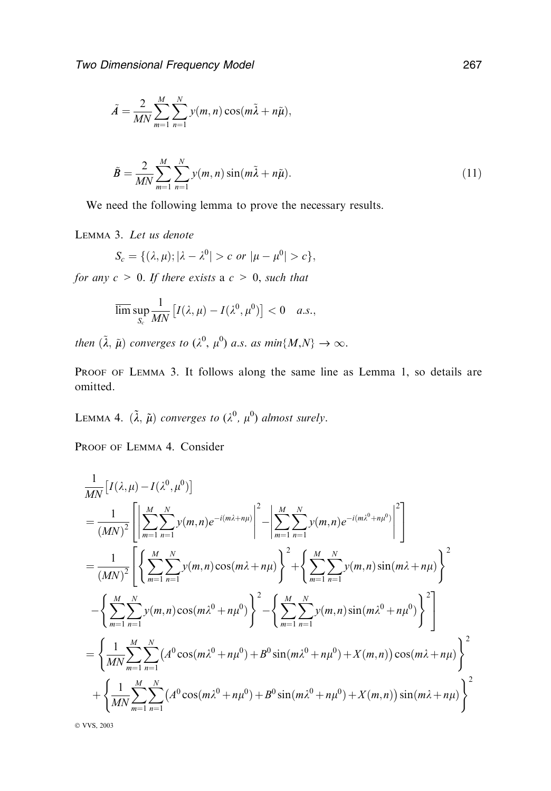$$
\tilde{A} = \frac{2}{MN} \sum_{m=1}^{M} \sum_{n=1}^{N} y(m, n) \cos(m\tilde{\lambda} + n\tilde{\mu}),
$$

$$
\tilde{B} = \frac{2}{MN} \sum_{m=1}^{M} \sum_{n=1}^{N} y(m, n) \sin(m\tilde{\lambda} + n\tilde{\mu}).
$$
\n(11)

We need the following lemma to prove the necessary results.

Lemma 3. Let us denote

$$
S_c = \{(\lambda, \mu); |\lambda - \lambda^0| > c \text{ or } |\mu - \mu^0| > c\},\
$$

for any  $c > 0$ . If there exists a  $c > 0$ , such that

$$
\overline{\lim}\sup_{S_c}\frac{1}{MN}\left[I(\lambda,\mu)-I(\lambda^0,\mu^0)\right]<0\quad a.s.,
$$

then  $(\tilde{\lambda}, \tilde{\mu})$  converges to  $(\lambda^0, \mu^0)$  a.s. as  $min\{M, N\} \rightarrow \infty$ .

PROOF OF LEMMA 3. It follows along the same line as Lemma 1, so details are omitted.

LEMMA 4.  $(\tilde{\lambda}, \tilde{\mu})$  converges to  $(\lambda^0, \mu^0)$  almost surely.

PROOF OF LEMMA 4. Consider

$$
\frac{1}{MN} \left[ I(\lambda, \mu) - I(\lambda^{0}, \mu^{0}) \right]
$$
\n
$$
= \frac{1}{(MN)^{2}} \left[ \left| \sum_{m=1}^{M} \sum_{n=1}^{N} y(m, n) e^{-i(m\lambda + n\mu)} \right|^{2} - \left| \sum_{m=1}^{M} \sum_{n=1}^{N} y(m, n) e^{-i(m\lambda^{0} + n\mu^{0})} \right|^{2} \right]
$$
\n
$$
= \frac{1}{(MN)^{2}} \left[ \left\{ \sum_{m=1}^{M} \sum_{n=1}^{N} y(m, n) \cos(m\lambda + n\mu) \right\}^{2} + \left\{ \sum_{m=1}^{M} \sum_{n=1}^{N} y(m, n) \sin(m\lambda + n\mu) \right\}^{2} - \left\{ \sum_{m=1}^{M} \sum_{n=1}^{N} y(m, n) \cos(m\lambda^{0} + n\mu^{0}) \right\}^{2} - \left\{ \sum_{m=1}^{M} \sum_{n=1}^{N} y(m, n) \sin(m\lambda^{0} + n\mu^{0}) \right\}^{2} \right]
$$
\n
$$
= \left\{ \frac{1}{MN} \sum_{m=1}^{M} \sum_{n=1}^{N} (A^{0} \cos(m\lambda^{0} + n\mu^{0}) + B^{0} \sin(m\lambda^{0} + n\mu^{0}) + X(m, n) \cos(m\lambda + n\mu) \right\}^{2} + \left\{ \frac{1}{MN} \sum_{m=1}^{M} \sum_{n=1}^{N} (A^{0} \cos(m\lambda^{0} + n\mu^{0}) + B^{0} \sin(m\lambda^{0} + n\mu^{0}) + X(m, n) \right) \sin(m\lambda + n\mu) \right\}^{2}
$$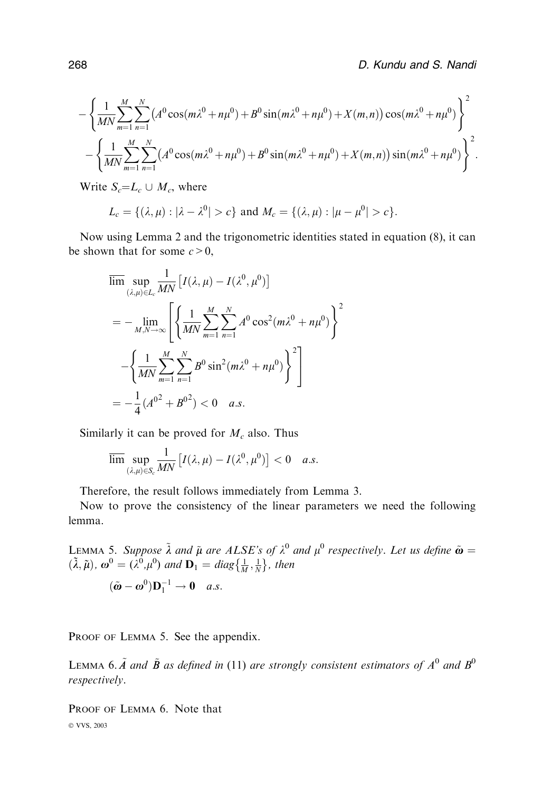$$
-\left\{\frac{1}{MN}\sum_{m=1}^{M}\sum_{n=1}^{N}\left(A^{0}\cos(m\lambda^{0}+n\mu^{0})+B^{0}\sin(m\lambda^{0}+n\mu^{0})+X(m,n)\right)\cos(m\lambda^{0}+n\mu^{0})\right\}^{2} -\left\{\frac{1}{MN}\sum_{m=1}^{M}\sum_{n=1}^{N}\left(A^{0}\cos(m\lambda^{0}+n\mu^{0})+B^{0}\sin(m\lambda^{0}+n\mu^{0})+X(m,n)\right)\sin(m\lambda^{0}+n\mu^{0})\right\}^{2}.
$$

Write  $S_c = L_c \cup M_c$ , where

$$
L_c = \{ (\lambda, \mu) : |\lambda - \lambda^0| > c \} \text{ and } M_c = \{ (\lambda, \mu) : |\mu - \mu^0| > c \}.
$$

Now using Lemma 2 and the trigonometric identities stated in equation (8), it can be shown that for some  $c > 0$ ,

$$
\overline{\lim}_{(\lambda,\mu)\in L_c} \sup_{MM} \frac{1}{M N} \left[ I(\lambda,\mu) - I(\lambda^0, \mu^0) \right]
$$
\n
$$
= - \lim_{M,N \to \infty} \left[ \left\{ \frac{1}{M N} \sum_{m=1}^M \sum_{n=1}^N A^0 \cos^2(m\lambda^0 + n\mu^0) \right\}^2 \right]
$$
\n
$$
- \left\{ \frac{1}{M N} \sum_{m=1}^M \sum_{n=1}^N B^0 \sin^2(m\lambda^0 + n\mu^0) \right\}^2 \right]
$$
\n
$$
= -\frac{1}{4} (A^{0^2} + B^{0^2}) < 0 \quad a.s.
$$

Similarly it can be proved for  $M_c$  also. Thus

$$
\overline{\lim}\sup_{(\lambda,\mu)\in S_c}\frac{1}{MN}\left[I(\lambda,\mu)-I(\lambda^0,\mu^0)\right]<0\quad a.s.
$$

Therefore, the result follows immediately from Lemma 3.

Now to prove the consistency of the linear parameters we need the following lemma.

LEMMA 5. Suppose  $\tilde{\lambda}$  and  $\tilde{\mu}$  are ALSE's of  $\lambda^0$  and  $\mu^0$  respectively. Let us define  $\tilde{\omega}$  =  $(\tilde{\lambda}, \tilde{\mu})$ ,  $\omega^0 = (\lambda^0, \mu^0)$  and  $\mathbf{D}_1 = diag\{\frac{1}{M}, \frac{1}{N}\}\$ , then

$$
(\tilde{\boldsymbol{\omega}} - \boldsymbol{\omega}^0)\mathbf{D}_1^{-1} \to \mathbf{0} \quad a.s.
$$

PROOF OF LEMMA 5. See the appendix.

LEMMA 6.  $\tilde{A}$  and  $\tilde{B}$  as defined in (11) are strongly consistent estimators of  $A^0$  and  $B^0$ respectively.

PROOF OF LEMMA 6. Note that © VVS, 2003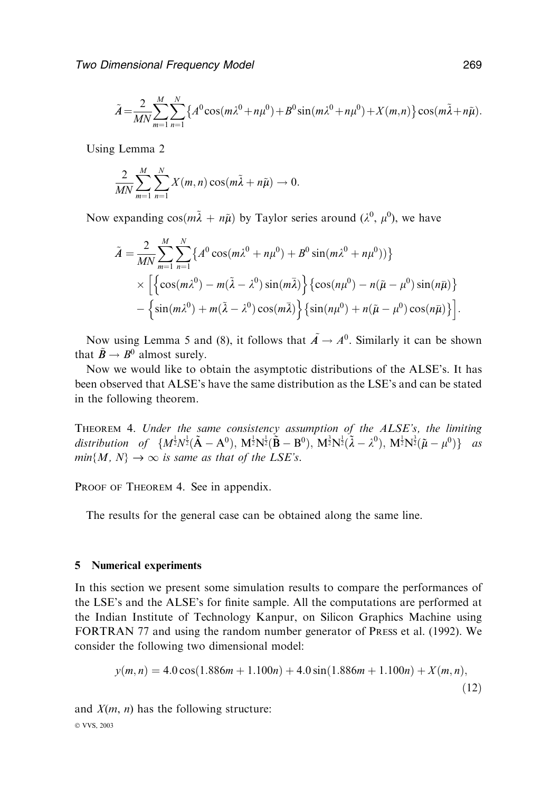$$
\tilde{A} = \frac{2}{MN} \sum_{m=1}^{M} \sum_{n=1}^{N} \left\{ A^0 \cos(m\lambda^0 + n\mu^0) + B^0 \sin(m\lambda^0 + n\mu^0) + X(m,n) \right\} \cos(m\tilde{\lambda} + n\tilde{\mu}).
$$

Using Lemma 2

$$
\frac{2}{MN}\sum_{m=1}^M\sum_{n=1}^N X(m,n)\cos(m\tilde{\lambda}+n\tilde{\mu})\to 0.
$$

Now expanding  $cos(m\tilde{\lambda} + n\tilde{\mu})$  by Taylor series around  $(\lambda^0, \mu^0)$ , we have

$$
\tilde{A} = \frac{2}{MN} \sum_{m=1}^{M} \sum_{n=1}^{N} \left\{ A^0 \cos(m\lambda^0 + n\mu^0) + B^0 \sin(m\lambda^0 + n\mu^0) \right\} \times \left[ \left\{ \cos(m\lambda^0) - m(\tilde{\lambda} - \lambda^0) \sin(m\tilde{\lambda}) \right\} \left\{ \cos(n\mu^0) - n(\tilde{\mu} - \mu^0) \sin(n\bar{\mu}) \right\} - \left\{ \sin(m\lambda^0) + m(\tilde{\lambda} - \lambda^0) \cos(m\tilde{\lambda}) \right\} \left\{ \sin(n\mu^0) + n(\tilde{\mu} - \mu^0) \cos(n\bar{\mu}) \right\} \right].
$$

Now using Lemma 5 and (8), it follows that  $A \rightarrow A^0$ . Similarly it can be shown that  $\tilde{B} \rightarrow B^0$  almost surely.

Now we would like to obtain the asymptotic distributions of the ALSE's. It has been observed that ALSE's have the same distribution as the LSE's and can be stated in the following theorem.

Theorem 4. Under the same consistency assumption of the ALSE's, the limiting distribution of  $\{M^{\frac{1}{2}}N^{\frac{1}{2}}(\tilde{\mathbf{A}}-\mathbf{A}^{0}),~\mathbf{M}^{\frac{1}{2}}N^{\frac{1}{2}}(\tilde{\mathbf{B}}-\mathbf{B}^{0}),~\mathbf{M}^{\frac{3}{2}}N^{\frac{1}{2}}(\tilde{\lambda}-\lambda^{0}),~\mathbf{M}^{\frac{1}{2}}N^{\frac{3}{2}}(\tilde{\mu}-\mu^{0})\}$  as  $min{M, N} \rightarrow \infty$  is same as that of the LSE's.

PROOF OF THEOREM 4. See in appendix.

The results for the general case can be obtained along the same line.

## 5 Numerical experiments

In this section we present some simulation results to compare the performances of the LSE's and the ALSE's for finite sample. All the computations are performed at the Indian Institute of Technology Kanpur, on Silicon Graphics Machine using FORTRAN 77 and using the random number generator of PRESS et al. (1992). We consider the following two dimensional model:

$$
y(m, n) = 4.0 \cos(1.886m + 1.100n) + 4.0 \sin(1.886m + 1.100n) + X(m, n),
$$
\n(12)

and  $X(m, n)$  has the following structure: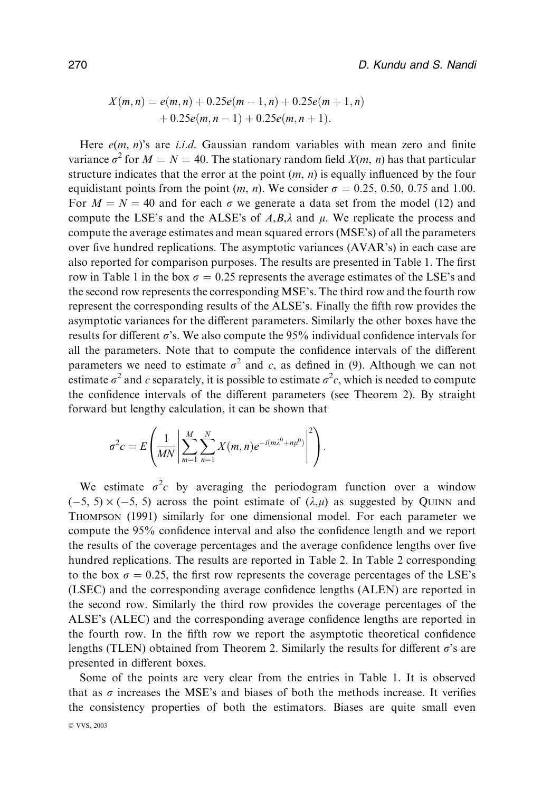$$
X(m,n) = e(m,n) + 0.25e(m-1,n) + 0.25e(m+1,n) + 0.25e(m,n-1) + 0.25e(m,n+1).
$$

Here  $e(m, n)$ 's are *i.i.d.* Gaussian random variables with mean zero and finite variance  $\sigma^2$  for  $M = N = 40$ . The stationary random field  $X(m, n)$  has that particular structure indicates that the error at the point  $(m, n)$  is equally influenced by the four equidistant points from the point  $(m, n)$ . We consider  $\sigma = 0.25, 0.50, 0.75$  and 1.00. For  $M = N = 40$  and for each  $\sigma$  we generate a data set from the model (12) and compute the LSE's and the ALSE's of A,B, $\lambda$  and  $\mu$ . We replicate the process and compute the average estimates and mean squared errors (MSE's) of all the parameters over five hundred replications. The asymptotic variances (AVAR's) in each case are also reported for comparison purposes. The results are presented in Table 1. The first row in Table 1 in the box  $\sigma = 0.25$  represents the average estimates of the LSE's and the second row represents the corresponding MSE's. The third row and the fourth row represent the corresponding results of the ALSE's. Finally the fifth row provides the asymptotic variances for the different parameters. Similarly the other boxes have the results for different  $\sigma$ 's. We also compute the 95% individual confidence intervals for all the parameters. Note that to compute the confidence intervals of the different parameters we need to estimate  $\sigma^2$  and c, as defined in (9). Although we can not estimate  $\sigma^2$  and c separately, it is possible to estimate  $\sigma^2 c$ , which is needed to compute the confidence intervals of the different parameters (see Theorem 2). By straight forward but lengthy calculation, it can be shown that

$$
\sigma^2 c = E\left(\frac{1}{MN}\left|\sum_{m=1}^M\sum_{n=1}^N X(m,n)e^{-i(m\lambda^0+n\mu^0)}\right|^2\right).
$$

We estimate  $\sigma^2 c$  by averaging the periodogram function over a window  $(-5, 5) \times (-5, 5)$  across the point estimate of  $(\lambda, \mu)$  as suggested by OUINN and THOMPSON (1991) similarly for one dimensional model. For each parameter we compute the 95% confidence interval and also the confidence length and we report the results of the coverage percentages and the average confidence lengths over five hundred replications. The results are reported in Table 2. In Table 2 corresponding to the box  $\sigma = 0.25$ , the first row represents the coverage percentages of the LSE's (LSEC) and the corresponding average confidence lengths (ALEN) are reported in the second row. Similarly the third row provides the coverage percentages of the ALSE's (ALEC) and the corresponding average confidence lengths are reported in the fourth row. In the fifth row we report the asymptotic theoretical confidence lengths (TLEN) obtained from Theorem 2. Similarly the results for different  $\sigma$ 's are presented in different boxes.

Some of the points are very clear from the entries in Table 1. It is observed that as  $\sigma$  increases the MSE's and biases of both the methods increase. It verifies the consistency properties of both the estimators. Biases are quite small even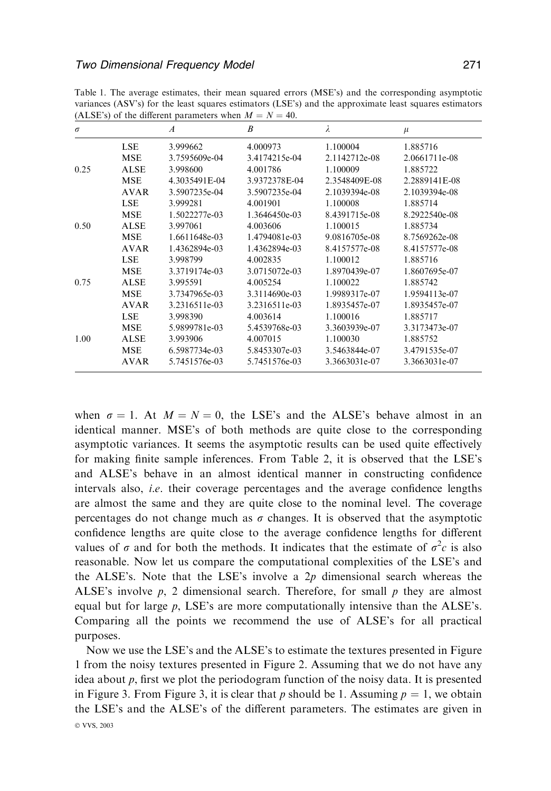| $\sigma$ |             | $\boldsymbol{A}$ | B             | λ             | $\mu$         |
|----------|-------------|------------------|---------------|---------------|---------------|
|          | LSE         | 3.999662         | 4.000973      | 1.100004      | 1.885716      |
|          | <b>MSE</b>  | 3.7595609e-04    | 3.4174215e-04 | 2.1142712e-08 | 2.0661711e-08 |
| 0.25     | <b>ALSE</b> | 3.998600         | 4.001786      | 1.100009      | 1.885722      |
|          | <b>MSE</b>  | 4.3035491E-04    | 3.9372378E-04 | 2.3548409E-08 | 2.2889141E-08 |
|          | <b>AVAR</b> | 3.5907235e-04    | 3.5907235e-04 | 2.1039394e-08 | 2.1039394e-08 |
|          | LSE         | 3.999281         | 4.001901      | 1.100008      | 1.885714      |
|          | <b>MSE</b>  | 1.5022277e-03    | 1.3646450e-03 | 8.4391715e-08 | 8.2922540e-08 |
| 0.50     | <b>ALSE</b> | 3.997061         | 4.003606      | 1.100015      | 1.885734      |
|          | <b>MSE</b>  | 1.6611648e-03    | 1.4794081e-03 | 9.0816705e-08 | 8.7569262e-08 |
|          | <b>AVAR</b> | 1.4362894e-03    | 1.4362894e-03 | 8.4157577e-08 | 8.4157577e-08 |
|          | <b>LSE</b>  | 3.998799         | 4.002835      | 1.100012      | 1.885716      |
|          | <b>MSE</b>  | 3.3719174e-03    | 3.0715072e-03 | 1.8970439e-07 | 1.8607695e-07 |
| 0.75     | <b>ALSE</b> | 3.995591         | 4.005254      | 1.100022      | 1.885742      |
|          | <b>MSE</b>  | 3.7347965e-03    | 3.3114690e-03 | 1.9989317e-07 | 1.9594113e-07 |
|          | <b>AVAR</b> | 3.2316511e-03    | 3.2316511e-03 | 1.8935457e-07 | 1.8935457e-07 |
|          | <b>LSE</b>  | 3.998390         | 4.003614      | 1.100016      | 1.885717      |
|          | <b>MSE</b>  | 5.9899781e-03    | 5.4539768e-03 | 3.3603939e-07 | 3.3173473e-07 |
| 1.00     | <b>ALSE</b> | 3.993906         | 4.007015      | 1.100030      | 1.885752      |
|          | <b>MSE</b>  | 6.5987734e-03    | 5.8453307e-03 | 3.5463844e-07 | 3.4791535e-07 |
|          | <b>AVAR</b> | 5.7451576e-03    | 5.7451576e-03 | 3.3663031e-07 | 3.3663031e-07 |

Table 1. The average estimates, their mean squared errors (MSE's) and the corresponding asymptotic variances (ASV's) for the least squares estimators (LSE's) and the approximate least squares estimators (ALSE's) of the different parameters when  $M - N - 40$ .

when  $\sigma = 1$ . At  $M = N = 0$ , the LSE's and the ALSE's behave almost in an identical manner. MSE's of both methods are quite close to the corresponding asymptotic variances. It seems the asymptotic results can be used quite effectively for making finite sample inferences. From Table 2, it is observed that the LSE's and ALSE's behave in an almost identical manner in constructing confidence intervals also, i.e. their coverage percentages and the average confidence lengths are almost the same and they are quite close to the nominal level. The coverage percentages do not change much as  $\sigma$  changes. It is observed that the asymptotic confidence lengths are quite close to the average confidence lengths for different values of  $\sigma$  and for both the methods. It indicates that the estimate of  $\sigma^2 c$  is also reasonable. Now let us compare the computational complexities of the LSE's and the ALSE's. Note that the LSE's involve a  $2p$  dimensional search whereas the ALSE's involve  $p$ , 2 dimensional search. Therefore, for small  $p$  they are almost equal but for large  $p$ , LSE's are more computationally intensive than the ALSE's. Comparing all the points we recommend the use of ALSE's for all practical purposes.

Now we use the LSE's and the ALSE's to estimate the textures presented in Figure 1 from the noisy textures presented in Figure 2. Assuming that we do not have any idea about  $p$ , first we plot the periodogram function of the noisy data. It is presented in Figure 3. From Figure 3, it is clear that p should be 1. Assuming  $p = 1$ , we obtain the LSE's and the ALSE's of the different parameters. The estimates are given in © VVS, 2003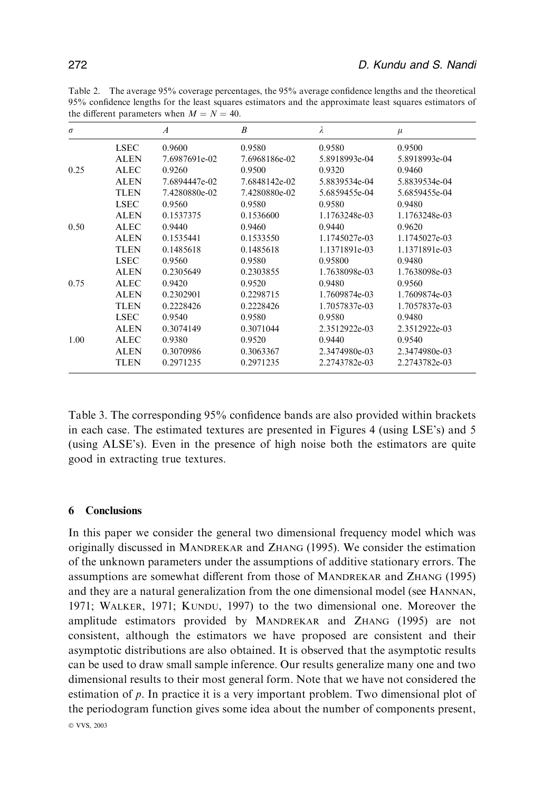| $\sigma$ |             | $\boldsymbol{A}$ | $\boldsymbol{B}$ | λ             | $\mu$         |
|----------|-------------|------------------|------------------|---------------|---------------|
|          | <b>LSEC</b> | 0.9600           | 0.9580           | 0.9580        | 0.9500        |
|          | <b>ALEN</b> | 7.6987691e-02    | 7.6968186e-02    | 5.8918993e-04 | 5.8918993e-04 |
| 0.25     | <b>ALEC</b> | 0.9260           | 0.9500           | 0.9320        | 0.9460        |
|          | <b>ALEN</b> | 7.6894447e-02    | 7.6848142e-02    | 5.8839534e-04 | 5.8839534e-04 |
|          | <b>TLEN</b> | 7.4280880e-02    | 7.4280880e-02    | 5.6859455e-04 | 5.6859455e-04 |
|          | <b>LSEC</b> | 0.9560           | 0.9580           | 0.9580        | 0.9480        |
|          | <b>ALEN</b> | 0.1537375        | 0.1536600        | 1.1763248e-03 | 1.1763248e-03 |
| 0.50     | <b>ALEC</b> | 0.9440           | 0.9460           | 0.9440        | 0.9620        |
|          | <b>ALEN</b> | 0.1535441        | 0.1533550        | 1.1745027e-03 | 1.1745027e-03 |
|          | <b>TLEN</b> | 0.1485618        | 0.1485618        | 1.1371891e-03 | 1.1371891e-03 |
|          | <b>LSEC</b> | 0.9560           | 0.9580           | 0.95800       | 0.9480        |
|          | <b>ALEN</b> | 0.2305649        | 0.2303855        | 1.7638098e-03 | 1.7638098e-03 |
| 0.75     | <b>ALEC</b> | 0.9420           | 0.9520           | 0.9480        | 0.9560        |
|          | <b>ALEN</b> | 0.2302901        | 0.2298715        | 1.7609874e-03 | 1.7609874e-03 |
|          | <b>TLEN</b> | 0.2228426        | 0.2228426        | 1.7057837e-03 | 1.7057837e-03 |
|          | <b>LSEC</b> | 0.9540           | 0.9580           | 0.9580        | 0.9480        |
|          | <b>ALEN</b> | 0.3074149        | 0.3071044        | 2.3512922e-03 | 2.3512922e-03 |
| 1.00     | <b>ALEC</b> | 0.9380           | 0.9520           | 0.9440        | 0.9540        |
|          | <b>ALEN</b> | 0.3070986        | 0.3063367        | 2.3474980e-03 | 2.3474980e-03 |
|          | <b>TLEN</b> | 0.2971235        | 0.2971235        | 2.2743782e-03 | 2.2743782e-03 |

Table 3. The corresponding 95% confidence bands are also provided within brackets in each case. The estimated textures are presented in Figures 4 (using LSE's) and 5 (using ALSE's). Even in the presence of high noise both the estimators are quite good in extracting true textures.

# 6 Conclusions

In this paper we consider the general two dimensional frequency model which was originally discussed in MANDREKAR and ZHANG (1995). We consider the estimation of the unknown parameters under the assumptions of additive stationary errors. The assumptions are somewhat different from those of MANDREKAR and ZHANG (1995) and they are a natural generalization from the one dimensional model (see HANNAN, 1971; WALKER, 1971; KUNDU, 1997) to the two dimensional one. Moreover the amplitude estimators provided by MANDREKAR and ZHANG (1995) are not consistent, although the estimators we have proposed are consistent and their asymptotic distributions are also obtained. It is observed that the asymptotic results can be used to draw small sample inference. Our results generalize many one and two dimensional results to their most general form. Note that we have not considered the estimation of p. In practice it is a very important problem. Two dimensional plot of the periodogram function gives some idea about the number of components present, © VVS, 2003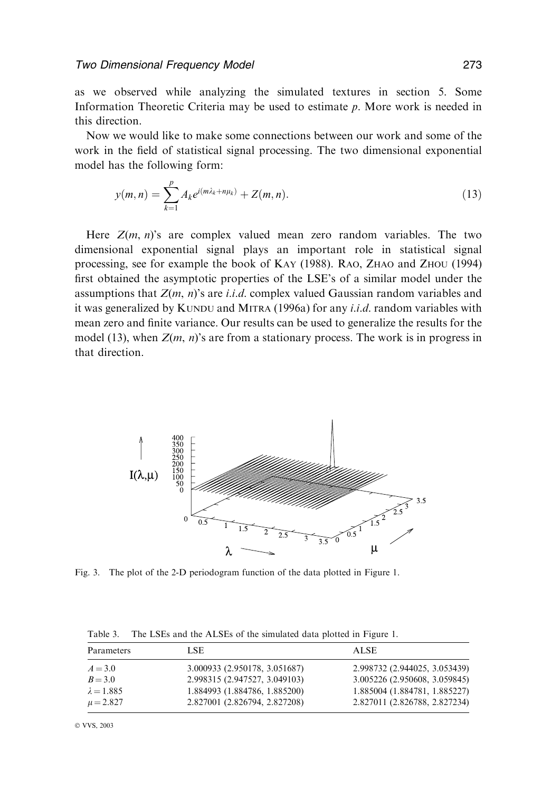as we observed while analyzing the simulated textures in section 5. Some Information Theoretic Criteria may be used to estimate p. More work is needed in this direction.

Now we would like to make some connections between our work and some of the work in the field of statistical signal processing. The two dimensional exponential model has the following form:

$$
y(m,n) = \sum_{k=1}^{p} A_k e^{i(m\lambda_k + n\mu_k)} + Z(m,n).
$$
 (13)

Here  $Z(m, n)$ 's are complex valued mean zero random variables. The two dimensional exponential signal plays an important role in statistical signal processing, see for example the book of KAY (1988). RAO, ZHAO and ZHOU (1994) first obtained the asymptotic properties of the LSE's of a similar model under the assumptions that  $Z(m, n)$ 's are *i.i.d.* complex valued Gaussian random variables and it was generalized by KUNDU and MITRA  $(1996a)$  for any *i.i.d.* random variables with mean zero and finite variance. Our results can be used to generalize the results for the model (13), when  $Z(m, n)$ 's are from a stationary process. The work is in progress in that direction.



Fig. 3. The plot of the 2-D periodogram function of the data plotted in Figure 1.

| Parameters        | LSE.                          | <b>ALSE</b>                   |  |
|-------------------|-------------------------------|-------------------------------|--|
| $A = 3.0$         | 3.000933 (2.950178, 3.051687) | 2.998732 (2.944025, 3.053439) |  |
| $B = 3.0$         | 2.998315 (2.947527, 3.049103) | 3.005226 (2.950608, 3.059845) |  |
| $\lambda = 1.885$ | 1.884993 (1.884786, 1.885200) | 1.885004 (1.884781, 1.885227) |  |
| $\mu = 2.827$     | 2.827001 (2.826794, 2.827208) | 2.827011 (2.826788, 2.827234) |  |

Table 3. The LSEs and the ALSEs of the simulated data plotted in Figure 1.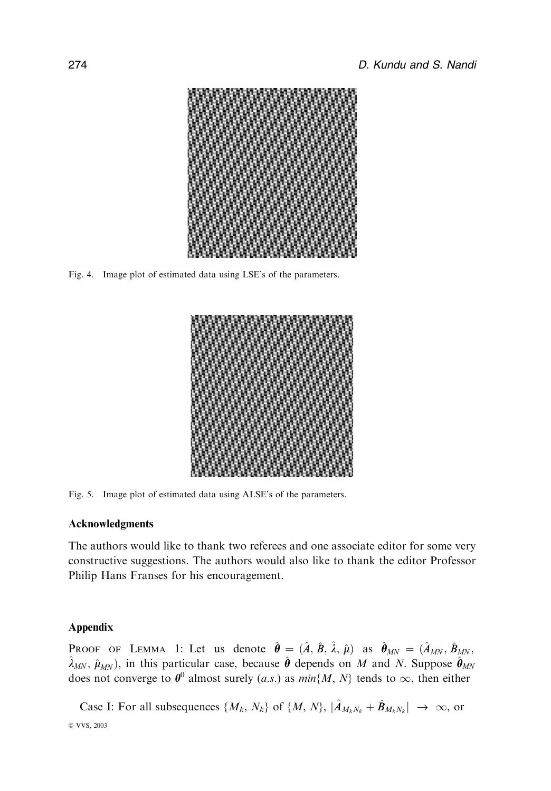

Fig. 4. Image plot of estimated data using LSE's of the parameters.



Fig. 5. Image plot of estimated data using ALSE's of the parameters.

# Acknowledgments

The authors would like to thank two referees and one associate editor for some very constructive suggestions. The authors would also like to thank the editor Professor Philip Hans Franses for his encouragement.

## Appendix

PROOF OF LEMMA 1: Let us denote  $\hat{\theta} = (\hat{A}, \hat{B}, \hat{\lambda}, \hat{\mu})$  as  $\hat{\theta}_{MN} = (\hat{A}_{MN}, \hat{B}_{MN}$  $\hat{\lambda}_{MN}$ ,  $\hat{\mu}_{MN}$ ), in this particular case, because  $\hat{\theta}$  depends on M and N. Suppose  $\hat{\theta}_{MN}$ does not converge to  $\theta^0$  almost surely (a.s.) as  $min\{M, N\}$  tends to  $\infty$ , then either

Case I: For all subsequences  $\{M_k, N_k\}$  of  $\{M, N\}$ ,  $|\hat{A}_{M_kN_k} + \hat{B}_{M_kN_k}| \to \infty$ , or © VVS, 2003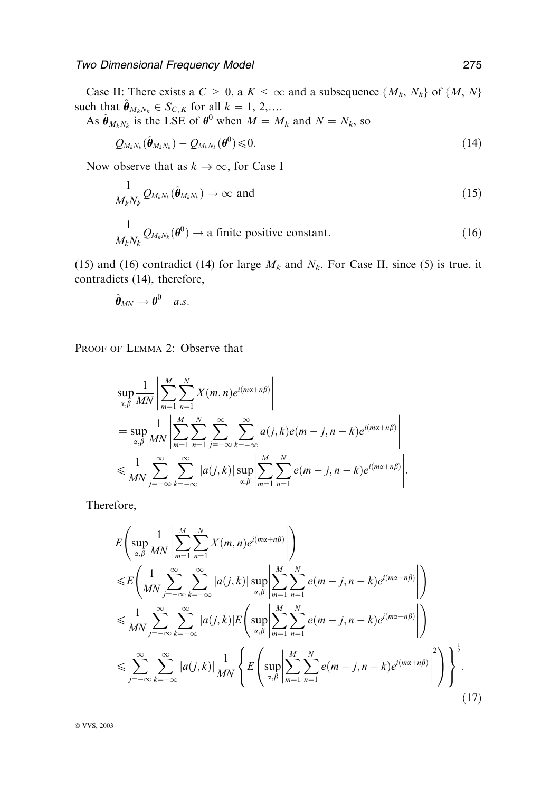Case II: There exists a  $C > 0$ , a  $K < \infty$  and a subsequence  $\{M_k, N_k\}$  of  $\{M, N\}$ such that  $\hat{\theta}_{M_kN_k} \in S_{C, K}$  for all  $k = 1, 2,...$ .

As  $\hat{\theta}_{M_kN_k}$  is the LSE of  $\theta^0$  when  $M = M_k$  and  $N = N_k$ , so

$$
Q_{M_kN_k}(\hat{\boldsymbol{\theta}}_{M_kN_k})-Q_{M_kN_k}(\boldsymbol{\theta}^0)\leqslant 0.
$$
\n(14)

Now observe that as  $k \to \infty$ , for Case I

$$
\frac{1}{M_k N_k} Q_{M_k N_k}(\hat{\boldsymbol{\theta}}_{M_k N_k}) \to \infty \text{ and } (15)
$$

$$
\frac{1}{M_k N_k} Q_{M_k N_k}(\boldsymbol{\theta}^0) \to \text{a finite positive constant.}
$$
 (16)

(15) and (16) contradict (14) for large  $M_k$  and  $N_k$ . For Case II, since (5) is true, it contradicts (14), therefore,

$$
\hat{\boldsymbol{\theta}}_{MN} \rightarrow \boldsymbol{\theta}^0 \quad a.s.
$$

PROOF OF LEMMA 2: Observe that

$$
\sup_{\alpha,\beta} \frac{1}{MN} \left| \sum_{m=1}^{M} \sum_{n=1}^{N} X(m,n) e^{i(mx+n\beta)} \right|
$$
  
= 
$$
\sup_{\alpha,\beta} \frac{1}{MN} \left| \sum_{m=1}^{M} \sum_{n=1}^{N} \sum_{j=-\infty}^{\infty} \sum_{k=-\infty}^{\infty} a(j,k) e(m-j,n-k) e^{i(mx+n\beta)} \right|
$$
  

$$
\leq \frac{1}{MN} \sum_{j=-\infty}^{\infty} \sum_{k=-\infty}^{\infty} |a(j,k)| \sup_{\alpha,\beta} \left| \sum_{m=1}^{M} \sum_{n=1}^{N} e(m-j,n-k) e^{i(mx+n\beta)} \right|.
$$

Therefore,

$$
E\left(\sup_{\alpha,\beta}\frac{1}{MN}\left|\sum_{m=1}^{M}\sum_{n=1}^{N}X(m,n)e^{i(mx+n\beta)}\right|\right)
$$
  
\n
$$
\leq E\left(\frac{1}{MN}\sum_{j=-\infty}^{\infty}\sum_{k=-\infty}^{\infty}|a(j,k)|\sup_{\alpha,\beta}\left|\sum_{m=1}^{M}\sum_{n=1}^{N}e(m-j,n-k)e^{i(mx+n\beta)}\right|\right)
$$
  
\n
$$
\leq \frac{1}{MN}\sum_{j=-\infty}^{\infty}\sum_{k=-\infty}^{\infty}|a(j,k)|E\left(\sup_{\alpha,\beta}\left|\sum_{m=1}^{M}\sum_{n=1}^{N}e(m-j,n-k)e^{i(mx+n\beta)}\right|\right)
$$
  
\n
$$
\leq \sum_{j=-\infty}^{\infty}\sum_{k=-\infty}^{\infty}|a(j,k)|\frac{1}{MN}\left\{E\left(\sup_{\alpha,\beta}\left|\sum_{m=1}^{M}\sum_{n=1}^{N}e(m-j,n-k)e^{i(mx+n\beta)}\right|^{2}\right)\right\}^{\frac{1}{2}}.
$$
\n(17)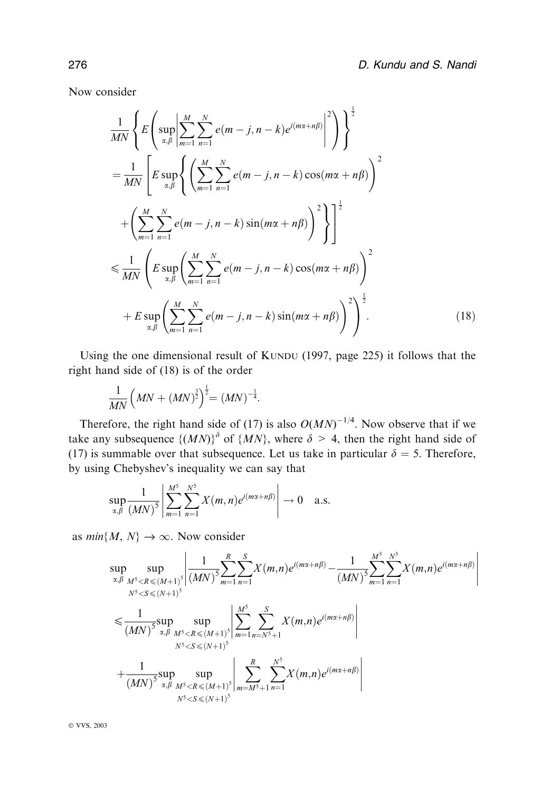Now consider

$$
\frac{1}{MN}\left\{E\left(\sup_{\alpha,\beta}\left|\sum_{m=1}^{M}\sum_{n=1}^{N}e(m-j,n-k)e^{i(m\alpha+n\beta)}\right|^{2}\right)\right\}^{\frac{1}{2}}\right\}
$$
\n
$$
=\frac{1}{MN}\left[E\sup_{\alpha,\beta}\left\{\left(\sum_{m=1}^{M}\sum_{n=1}^{N}e(m-j,n-k)\cos(m\alpha+n\beta)\right)^{2}\right\}^{2}\right\}
$$
\n
$$
+\left(\sum_{m=1}^{M}\sum_{n=1}^{N}e(m-j,n-k)\sin(m\alpha+n\beta)\right)^{2}\right\}^{\frac{1}{2}}
$$
\n
$$
\leq \frac{1}{MN}\left(E\sup_{\alpha,\beta}\left(\sum_{m=1}^{M}\sum_{n=1}^{N}e(m-j,n-k)\cos(m\alpha+n\beta)\right)^{2}\right)
$$
\n
$$
+E\sup_{\alpha,\beta}\left(\sum_{m=1}^{M}\sum_{n=1}^{N}e(m-j,n-k)\sin(m\alpha+n\beta)\right)^{2}\right)^{\frac{1}{2}}.
$$
\n(18)

Using the one dimensional result of KUNDU (1997, page 225) it follows that the right hand side of (18) is of the order

$$
\frac{1}{MN}\left( MN + (MN)^{\frac{3}{2}}\right)^{\frac{1}{2}} = (MN)^{-\frac{1}{4}}.
$$

Therefore, the right hand side of (17) is also  $O(MN)^{-1/4}$ . Now observe that if we take any subsequence  $\{(MN)\}^{\delta}$  of  $\{MN\}$ , where  $\delta > 4$ , then the right hand side of (17) is summable over that subsequence. Let us take in particular  $\delta = 5$ . Therefore, by using Chebyshev's inequality we can say that

$$
\sup_{\alpha,\beta}\frac{1}{(MN)^5}\left|\sum_{m=1}^{M^5}\sum_{n=1}^{N^5}X(m,n)e^{i(mx+n\beta)}\right|\to 0 \quad \text{a.s.}
$$

as  $min\{M, N\} \rightarrow \infty$ . Now consider

$$
\sup_{\alpha,\beta} \sup_{M^5 < R \le (M+1)^5} \left| \frac{1}{(MN)^5} \sum_{m=1}^R \sum_{n=1}^S X(m,n) e^{i(m\alpha+n\beta)} - \frac{1}{(MN)^5} \sum_{m=1}^N \sum_{n=1}^N X(m,n) e^{i(m\alpha+n\beta)} \right|
$$
\n
$$
\le \frac{1}{(MN)^5} \sup_{\alpha,\beta} \sup_{M^5 < R \le (M+1)^5} \left| \sum_{m=1}^{M^5} \sum_{n=N^5+1}^S X(m,n) e^{i(m\alpha+n\beta)} \right|
$$
\n
$$
+ \frac{1}{(MN)^5} \sup_{\alpha,\beta} \sup_{M^5 < R \le (M+1)^5} \left| \sum_{m=M^5+1}^R \sum_{n=1}^N X(m,n) e^{i(m\alpha+n\beta)} \right|
$$
\n
$$
+ \frac{1}{(MN)^5} \sup_{\alpha,\beta} \sup_{M^5 < R \le (M+1)^5} \left| \sum_{m=M^5+1}^R \sum_{n=1}^N X(m,n) e^{i(m\alpha+n\beta)} \right|
$$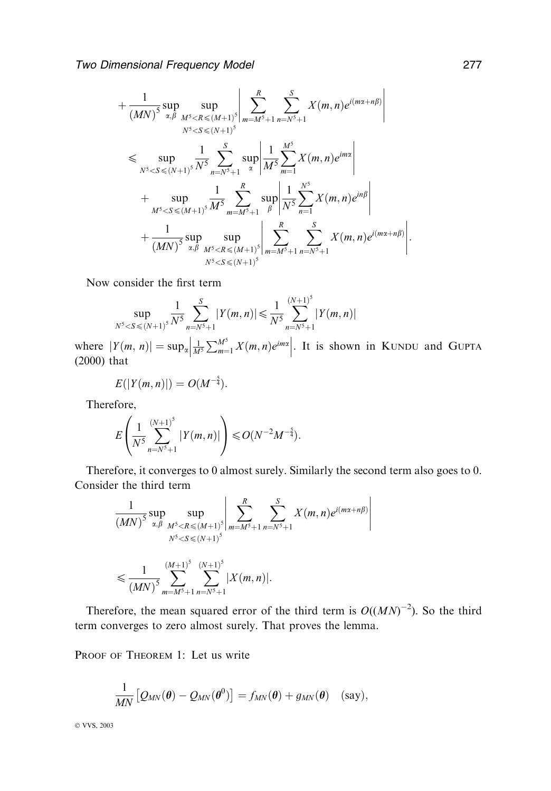$$
+\frac{1}{(MN)^{5}}\sup_{\alpha,\beta}\sup_{M^{5}  
\n
$$
\leq \sup_{N^{5}  
\n
$$
+\sup_{M^{5}  
\n
$$
+\frac{1}{(MN)^{5}}\sup_{\alpha,\beta}\sup_{M^{5}
$$
$$
$$
$$

Now consider the first term

$$
\sup_{N^5 < S \le (N+1)^5} \frac{1}{N^5} \sum_{n=N^5+1}^{S} |Y(m,n)| \le \frac{1}{N^5} \sum_{n=N^5+1}^{(N+1)^5} |Y(m,n)|
$$

where  $|Y(m, n)| = \sup_{\alpha} \left| \frac{1}{M^5} \right|$  $\frac{1}{M^5} \sum_{m=1}^{M^5} X(m,n) e^{im\alpha}$  . It is shown in KUNDU and GUPTA (2000) that

$$
E(|Y(m, n)|) = O(M^{-\frac{5}{4}}).
$$

Therefore,

$$
E\left(\frac{1}{N^5}\sum_{n=N^5+1}^{(N+1)^5} |Y(m,n)|\right) \leq O(N^{-2}M^{-\frac{5}{4}}).
$$

Therefore, it converges to 0 almost surely. Similarly the second term also goes to 0. Consider the third term

$$
\frac{1}{(MN)^5} \sup_{\alpha, \beta} \sup_{\substack{M^5 < R \le (M+1)^5 \\ N^5 < S \le (N+1)^5}} \left| \sum_{m=M^5+1}^R \sum_{n=N^5+1}^S X(m, n) e^{i(mx+n\beta)} \right|
$$
\n
$$
\le \frac{1}{(MN)^5} \sum_{m=M^5+1}^{(M+1)^5} \sum_{n=N^5+1}^{(N+1)^5} |X(m, n)|.
$$

Therefore, the mean squared error of the third term is  $O((MN)^{-2})$ . So the third term converges to zero almost surely. That proves the lemma.

PROOF OF THEOREM 1: Let us write

$$
\frac{1}{MN}\left[\mathcal{Q}_{MN}(\boldsymbol{\theta})-\mathcal{Q}_{MN}(\boldsymbol{\theta}^0)\right]=f_{MN}(\boldsymbol{\theta})+g_{MN}(\boldsymbol{\theta})\quad(\text{say}),
$$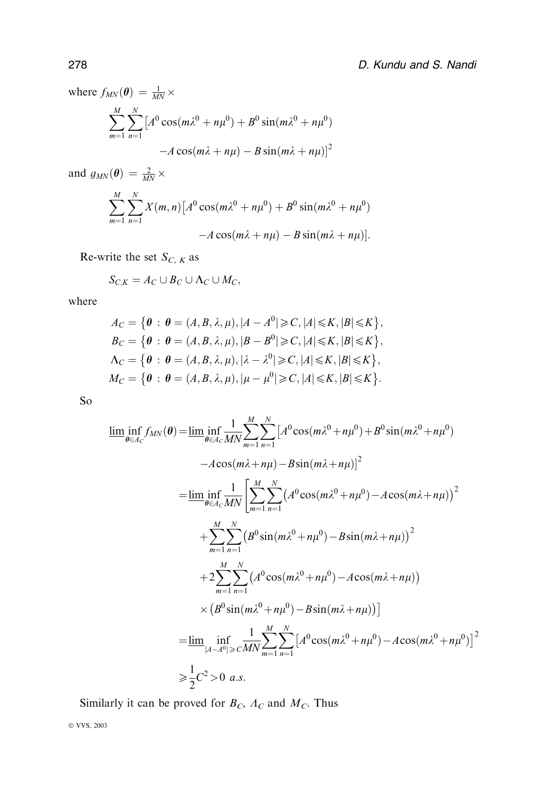where  $f_{MN}(\theta) = \frac{1}{MN} \times$ 

$$
\sum_{m=1}^{M} \sum_{n=1}^{N} \left[ A^{0} \cos(m\lambda^{0} + n\mu^{0}) + B^{0} \sin(m\lambda^{0} + n\mu^{0}) - A \cos(m\lambda + n\mu) - B \sin(m\lambda + n\mu) \right]^{2}
$$

and  $g_{MN}(\boldsymbol{\theta}) = \frac{2}{MN} \times$ 

$$
\sum_{m=1}^{M} \sum_{n=1}^{N} X(m,n) \left[ A^0 \cos(m\lambda^0 + n\mu^0) + B^0 \sin(m\lambda^0 + n\mu^0) - A \cos(m\lambda + n\mu) - B \sin(m\lambda + n\mu) \right].
$$

Re-write the set  $S_{C, K}$  as

$$
S_{C,K} = A_C \cup B_C \cup \Lambda_C \cup M_C,
$$

where

$$
A_C = \{ \theta : \theta = (A, B, \lambda, \mu), |A - A^0| \geq C, |A| \leq K, |B| \leq K \},
$$
  
\n
$$
B_C = \{ \theta : \theta = (A, B, \lambda, \mu), |B - B^0| \geq C, |A| \leq K, |B| \leq K \},
$$
  
\n
$$
\Lambda_C = \{ \theta : \theta = (A, B, \lambda, \mu), | \lambda - \lambda^0| \geq C, |A| \leq K, |B| \leq K \},
$$
  
\n
$$
M_C = \{ \theta : \theta = (A, B, \lambda, \mu), | \mu - \mu^0| \geq C, |A| \leq K, |B| \leq K \}.
$$

So

$$
\lim_{\theta \in A_C} \inf_{M_N} f_{MN}(\theta) = \lim_{\theta \in A_C} \inf_{M_N} \sum_{m=1}^{M} \sum_{n=1}^{N} \left[ A^0 \cos(m\lambda^0 + n\mu^0) + B^0 \sin(m\lambda^0 + n\mu^0) \right]
$$
  
\n
$$
-A \cos(m\lambda + n\mu) - B \sin(m\lambda + n\mu) \Big]^2
$$
  
\n
$$
= \lim_{\theta \in A_C} \inf_{M_N} \left[ \sum_{m=1}^{M} \sum_{n=1}^{N} \left( A^0 \cos(m\lambda^0 + n\mu^0) - A \cos(m\lambda + n\mu) \right)^2 \right]
$$
  
\n
$$
+ \sum_{m=1}^{M} \sum_{n=1}^{N} \left( B^0 \sin(m\lambda^0 + n\mu^0) - B \sin(m\lambda + n\mu) \right)^2
$$
  
\n
$$
+ 2 \sum_{m=1}^{M} \sum_{n=1}^{N} \left( A^0 \cos(m\lambda^0 + n\mu^0) - A \cos(m\lambda + n\mu) \right)
$$
  
\n
$$
\times \left( B^0 \sin(m\lambda^0 + n\mu^0) - B \sin(m\lambda + n\mu) \right)
$$
  
\n
$$
= \lim_{|A - A^0| \ge C} \inf_{M_N} \sum_{m=1}^{M} \sum_{n=1}^{N} \left[ A^0 \cos(m\lambda^0 + n\mu^0) - A \cos(m\lambda^0 + n\mu^0) \right]^2
$$
  
\n
$$
\ge \frac{1}{2} C^2 > 0 \text{ a.s.}
$$

Similarly it can be proved for  $B_C$ ,  $A_C$  and  $M_C$ . Thus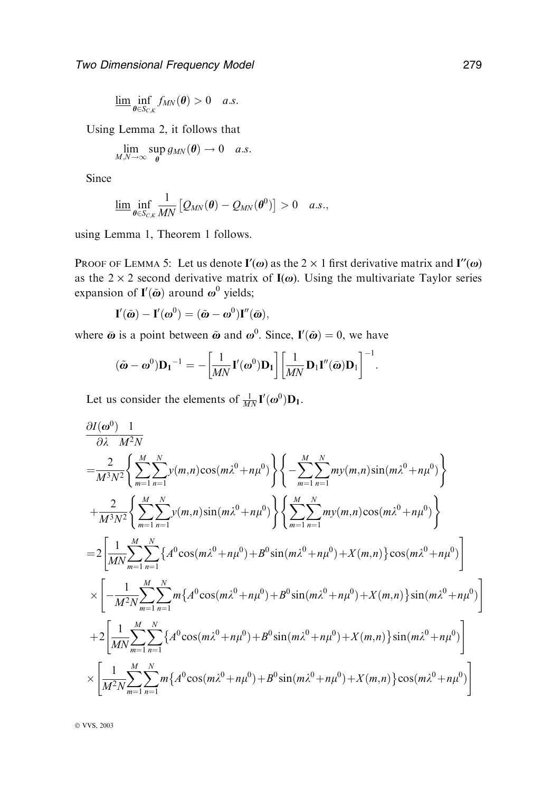$$
\underline{\lim}_{\theta \in S_{C,K}} f_{MN}(\theta) > 0 \quad a.s.
$$

Using Lemma 2, it follows that

$$
\lim_{M,N\to\infty}\sup_{\theta}g_{MN}(\theta)\to 0 \quad a.s.
$$

Since

$$
\underline{\lim}_{\theta \in S_{C,K}} \frac{1}{MN} \left[ Q_{MN}(\theta) - Q_{MN}(\theta^0) \right] > 0 \quad a.s.,
$$

using Lemma 1, Theorem 1 follows.

PROOF OF LEMMA 5: Let us denote  $I'(\omega)$  as the 2  $\times$  1 first derivative matrix and  $I''(\omega)$ as the  $2 \times 2$  second derivative matrix of  $I(\omega)$ . Using the multivariate Taylor series expansion of  $I'(\tilde{\omega})$  around  $\omega^0$  yields;

$$
I'(\tilde{\omega}) - I'(\omega^0) = (\tilde{\omega} - \omega^0)I''(\bar{\omega}),
$$

where  $\bar{\boldsymbol{\omega}}$  is a point between  $\tilde{\boldsymbol{\omega}}$  and  $\boldsymbol{\omega}^0$ . Since,  $\mathbf{I}'(\tilde{\boldsymbol{\omega}}) = 0$ , we have

$$
(\tilde{\boldsymbol{\omega}} - \boldsymbol{\omega}^0) \mathbf{D}_1^{-1} = -\left[\frac{1}{MN} \mathbf{I}'(\boldsymbol{\omega}^0) \mathbf{D}_1\right] \left[\frac{1}{MN} \mathbf{D}_1 \mathbf{I}''(\bar{\boldsymbol{\omega}}) \mathbf{D}_1\right]^{-1}.
$$

Let us consider the elements of  $\frac{1}{MN} \mathbf{I}'(\boldsymbol{\omega}^0) \mathbf{D}_1$ .

$$
\frac{\partial I(\omega^{0})}{\partial \lambda} \frac{1}{M^{2}N} \n= \frac{2}{M^{3}N^{2}} \Biggl\{ \sum_{m=1}^{M} \sum_{n=1}^{N} y(m,n) \cos(m\lambda^{0} + n\mu^{0}) \Biggr\} \Biggl\{ - \sum_{m=1}^{M} \sum_{n=1}^{N} m y(m,n) \sin(m\lambda^{0} + n\mu^{0}) \Biggr\} \n+ \frac{2}{M^{3}N^{2}} \Biggl\{ \sum_{m=1}^{M} \sum_{n=1}^{N} y(m,n) \sin(m\lambda^{0} + n\mu^{0}) \Biggr\} \Biggl\{ \sum_{m=1}^{M} \sum_{n=1}^{N} m y(m,n) \cos(m\lambda^{0} + n\mu^{0}) \Biggr\} \n= 2 \Biggl[ \frac{1}{MN} \sum_{m=1}^{M} \sum_{n=1}^{N} \Biggl\{ A^{0} \cos(m\lambda^{0} + n\mu^{0}) + B^{0} \sin(m\lambda^{0} + n\mu^{0}) + X(m,n) \Biggr\} \cos(m\lambda^{0} + n\mu^{0}) \Biggr] \n\times \Biggl[ - \frac{1}{M^{2}N} \sum_{m=1}^{M} \sum_{n=1}^{N} m \Biggl\{ A^{0} \cos(m\lambda^{0} + n\mu^{0}) + B^{0} \sin(m\lambda^{0} + n\mu^{0}) + X(m,n) \Biggr\} \sin(m\lambda^{0} + n\mu^{0}) \Biggr] \n+ 2 \Biggl[ \frac{1}{MN} \sum_{m=1}^{M} \sum_{n=1}^{N} \Biggl\{ A^{0} \cos(m\lambda^{0} + n\mu^{0}) + B^{0} \sin(m\lambda^{0} + n\mu^{0}) + X(m,n) \Biggr\} \sin(m\lambda^{0} + n\mu^{0}) \Biggr] \n\times \Biggl[ \frac{1}{M^{2}N} \sum_{m=1}^{M} \sum_{n=1}^{N} m \Biggl\{ A^{0} \cos(m\lambda^{0} + n\mu^{0}) + B^{0} \sin(m\lambda^{0} + n\mu^{0}) + X(m,n) \Biggr\} \cos(m\lambda^{0} + n\mu^{0}) \Biggr]
$$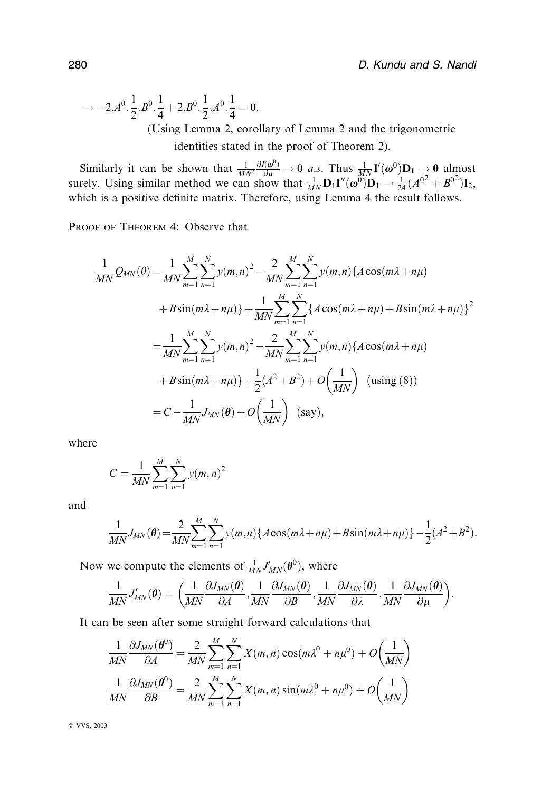$$
\rightarrow -2.A^{0}.\frac{1}{2}.B^{0}.\frac{1}{4} + 2.B^{0}.\frac{1}{2}.A^{0}.\frac{1}{4} = 0.
$$
  
(Using Lemma 2, corollary of Lemma 2 and the trigonometric identities stated in the proof of Theorem 2).

Similarly it can be shown that  $\frac{1}{MN^2}$  $\frac{\partial I(\omega^0)}{\partial \mu} \to 0$  a.s. Thus  $\frac{1}{MN} \mathbf{I}'(\omega^0) \mathbf{D}_1 \to \mathbf{0}$  almost surely. Using similar method we can show that  $\frac{1}{MN} \mathbf{D}_1 \mathbf{I}''(\omega^{01}) \mathbf{D}_1 \rightarrow \frac{1}{24} (A^{02} + B^{02}) \mathbf{I}_2$ , which is a positive definite matrix. Therefore, using Lemma 4 the result follows.

PROOF OF THEOREM 4: Observe that

$$
\frac{1}{MN}Q_{MN}(\theta) = \frac{1}{MN} \sum_{m=1}^{M} \sum_{n=1}^{N} y(m,n)^{2} - \frac{2}{MN} \sum_{m=1}^{M} \sum_{n=1}^{N} y(m,n) \{ A \cos(m\lambda + n\mu) \n+ B \sin(m\lambda + n\mu) \} + \frac{1}{MN} \sum_{m=1}^{M} \sum_{n=1}^{N} \{ A \cos(m\lambda + n\mu) + B \sin(m\lambda + n\mu) \}^{2} \n= \frac{1}{MN} \sum_{m=1}^{M} \sum_{n=1}^{N} y(m,n)^{2} - \frac{2}{MN} \sum_{m=1}^{M} \sum_{n=1}^{N} y(m,n) \{ A \cos(m\lambda + n\mu) \n+ B \sin(m\lambda + n\mu) \} + \frac{1}{2} (A^{2} + B^{2}) + O\left(\frac{1}{MN}\right) \text{ (using (8))} \n= C - \frac{1}{MN} J_{MN}(\theta) + O\left(\frac{1}{MN}\right) \text{ (say)},
$$

where

$$
C = \frac{1}{MN} \sum_{m=1}^{M} \sum_{n=1}^{N} y(m, n)^2
$$

and

$$
\frac{1}{MN}J_{MN}(\theta) = \frac{2}{MN}\sum_{m=1}^{M}\sum_{n=1}^{N}y(m,n)\{A\cos(m\lambda+n\mu)+B\sin(m\lambda+n\mu)\}-\frac{1}{2}(A^2+B^2).
$$

Now we compute the elements of  $\frac{1}{MN}J'_{MN}(\boldsymbol{\theta}^0)$ , where

$$
\frac{1}{MN}J'_{MN}(\theta) = \left(\frac{1}{MN}\frac{\partial J_{MN}(\theta)}{\partial A}, \frac{1}{MN}\frac{\partial J_{MN}(\theta)}{\partial B}, \frac{1}{MN}\frac{\partial J_{MN}(\theta)}{\partial \lambda}, \frac{1}{MN}\frac{\partial J_{MN}(\theta)}{\partial \mu}\right).
$$

It can be seen after some straight forward calculations that

$$
\frac{1}{MN}\frac{\partial J_{MN}(\boldsymbol{\theta}^{0})}{\partial A} = \frac{2}{MN}\sum_{m=1}^{M}\sum_{n=1}^{N}X(m,n)\cos(m\lambda^{0} + n\mu^{0}) + O\left(\frac{1}{MN}\right)
$$

$$
\frac{1}{MN}\frac{\partial J_{MN}(\boldsymbol{\theta}^{0})}{\partial B} = \frac{2}{MN}\sum_{m=1}^{M}\sum_{n=1}^{N}X(m,n)\sin(m\lambda^{0} + n\mu^{0}) + O\left(\frac{1}{MN}\right)
$$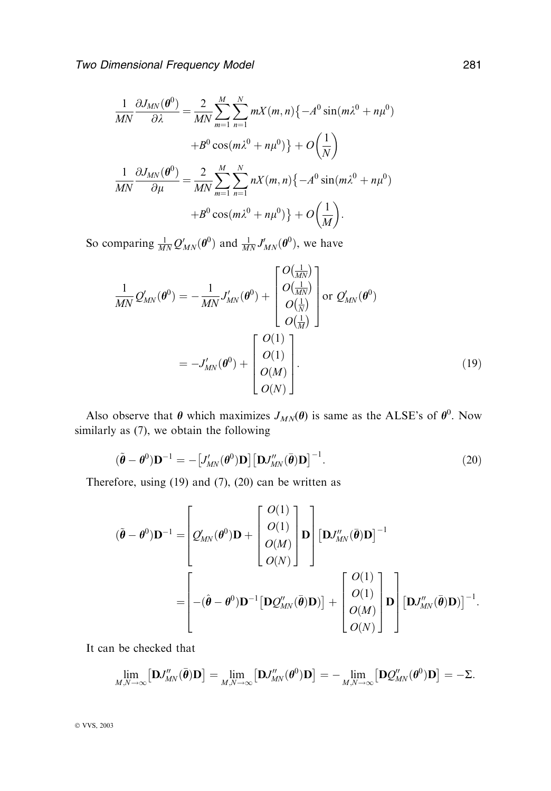$$
\frac{1}{MN}\frac{\partial J_{MN}(\theta^0)}{\partial \lambda} = \frac{2}{MN}\sum_{m=1}^M\sum_{n=1}^N mX(m,n)\{-A^0\sin(m\lambda^0 + n\mu^0)
$$

$$
+B^0\cos(m\lambda^0 + n\mu^0)\} + O\left(\frac{1}{N}\right)
$$

$$
\frac{1}{MN}\frac{\partial J_{MN}(\theta^0)}{\partial \mu} = \frac{2}{MN}\sum_{m=1}^M\sum_{n=1}^N nX(m,n)\{-A^0\sin(m\lambda^0 + n\mu^0)
$$

$$
+B^0\cos(m\lambda^0 + n\mu^0)\} + O\left(\frac{1}{M}\right).
$$

So comparing  $\frac{1}{MN} Q'_{MN}(\boldsymbol{\theta}^0)$  and  $\frac{1}{MN} J'_{MN}(\boldsymbol{\theta}^0)$ , we have

$$
\frac{1}{MN}Q'_{MN}(\boldsymbol{\theta}^{0}) = -\frac{1}{MN}J'_{MN}(\boldsymbol{\theta}^{0}) + \begin{bmatrix} O(\frac{1}{MN}) \\ O(\frac{1}{MN}) \\ O(\frac{1}{N}) \\ O(\frac{1}{M}) \end{bmatrix} \text{or } Q'_{MN}(\boldsymbol{\theta}^{0})
$$
\n
$$
= -J'_{MN}(\boldsymbol{\theta}^{0}) + \begin{bmatrix} O(1) \\ O(1) \\ O(M) \\ O(N) \end{bmatrix}.
$$
\n(19)

Also observe that  $\theta$  which maximizes  $J_{MN}(\theta)$  is same as the ALSE's of  $\theta^0$ . Now similarly as (7), we obtain the following

$$
(\tilde{\boldsymbol{\theta}} - \boldsymbol{\theta}^0) \mathbf{D}^{-1} = -\left[J'_{MN}(\boldsymbol{\theta}^0) \mathbf{D}\right] \left[\mathbf{D} J''_{MN}(\bar{\boldsymbol{\theta}}) \mathbf{D}\right]^{-1}.
$$
\n(20)

Therefore, using (19) and (7), (20) can be written as

$$
(\tilde{\boldsymbol{\theta}} - \boldsymbol{\theta}^0)\mathbf{D}^{-1} = \begin{bmatrix} O(1) \\ O(M) \\ O(M) \\ O(N) \end{bmatrix} \mathbf{D} \begin{bmatrix} \mathbf{D}J''_{MN}(\bar{\boldsymbol{\theta}})\mathbf{D} \end{bmatrix}^{-1}
$$

$$
= \begin{bmatrix} -(\hat{\boldsymbol{\theta}} - \boldsymbol{\theta}^0)\mathbf{D}^{-1} \left[ \mathbf{D}Q''_{MN}(\bar{\boldsymbol{\theta}})\mathbf{D} \right] + \begin{bmatrix} O(1) \\ O(1) \\ O(M) \\ O(N) \end{bmatrix} \mathbf{D} \begin{bmatrix} \mathbf{D}J''_{MN}(\bar{\boldsymbol{\theta}})\mathbf{D} \end{bmatrix}^{-1}.
$$

It can be checked that

$$
\lim_{M,N\to\infty}\big[\mathbf{D}J''_{MN}(\bar{\boldsymbol{\theta}})\mathbf{D}\big]=\lim_{M,N\to\infty}\big[\mathbf{D}J''_{MN}(\boldsymbol{\theta}^0)\mathbf{D}\big]=-\lim_{M,N\to\infty}\big[\mathbf{D}Q''_{MN}(\boldsymbol{\theta}^0)\mathbf{D}\big]=-\Sigma.
$$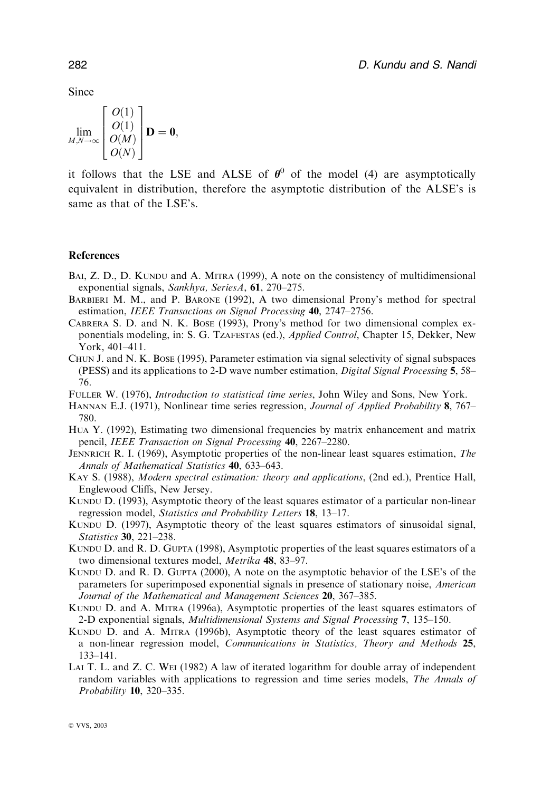Since

$$
\lim_{M,N\to\infty}\begin{bmatrix}O(1)\\O(1)\\O(M)\\O(N)\end{bmatrix}\mathbf{D}=\mathbf{0},\,
$$

it follows that the LSE and ALSE of  $\theta^0$  of the model (4) are asymptotically equivalent in distribution, therefore the asymptotic distribution of the ALSE's is same as that of the LSE's.

#### References

- BAI, Z. D., D. KUNDU and A. MITRA (1999), A note on the consistency of multidimensional exponential signals, Sankhya, SeriesA, 61, 270–275.
- Barbieri M. M., and P. Barone (1992), A two dimensional Prony's method for spectral estimation, IEEE Transactions on Signal Processing 40, 2747–2756.
- Cabrera S. D. and N. K. Bose (1993), Prony's method for two dimensional complex exponentials modeling, in: S. G. Tzafestas (ed.), Applied Control, Chapter 15, Dekker, New York, 401–411.
- Chun J. and N. K. Bose (1995), Parameter estimation via signal selectivity of signal subspaces (PESS) and its applications to 2-D wave number estimation, Digital Signal Processing 5, 58– 76.
- Fuller W. (1976), Introduction to statistical time series, John Wiley and Sons, New York.
- HANNAN E.J. (1971), Nonlinear time series regression, *Journal of Applied Probability* 8, 767– 780.
- Hua Y. (1992), Estimating two dimensional frequencies by matrix enhancement and matrix pencil, IEEE Transaction on Signal Processing 40, 2267–2280.
- JENNRICH R. I. (1969), Asymptotic properties of the non-linear least squares estimation, The Annals of Mathematical Statistics 40, 633–643.
- KAY S. (1988), *Modern spectral estimation: theory and applications*, (2nd ed.), Prentice Hall, Englewood Cliffs, New Jersey.
- Kundu D. (1993), Asymptotic theory of the least squares estimator of a particular non-linear regression model, Statistics and Probability Letters 18, 13–17.
- KUNDU D. (1997), Asymptotic theory of the least squares estimators of sinusoidal signal, Statistics 30, 221–238.
- KUNDU D. and R. D. GUPTA (1998), Asymptotic properties of the least squares estimators of a two dimensional textures model, Metrika 48, 83–97.
- KUNDU D. and R. D. GUPTA (2000), A note on the asymptotic behavior of the LSE's of the parameters for superimposed exponential signals in presence of stationary noise, American Journal of the Mathematical and Management Sciences 20, 367-385.
- Kundu D. and A. Mitra (1996a), Asymptotic properties of the least squares estimators of 2-D exponential signals, Multidimensional Systems and Signal Processing 7, 135–150.
- Kundu D. and A. Mitra (1996b), Asymptotic theory of the least squares estimator of a non-linear regression model, Communications in Statistics, Theory and Methods 25, 133–141.
- Lai T. L. and Z. C. Wei (1982) A law of iterated logarithm for double array of independent random variables with applications to regression and time series models, *The Annals of* Probability 10, 320–335.